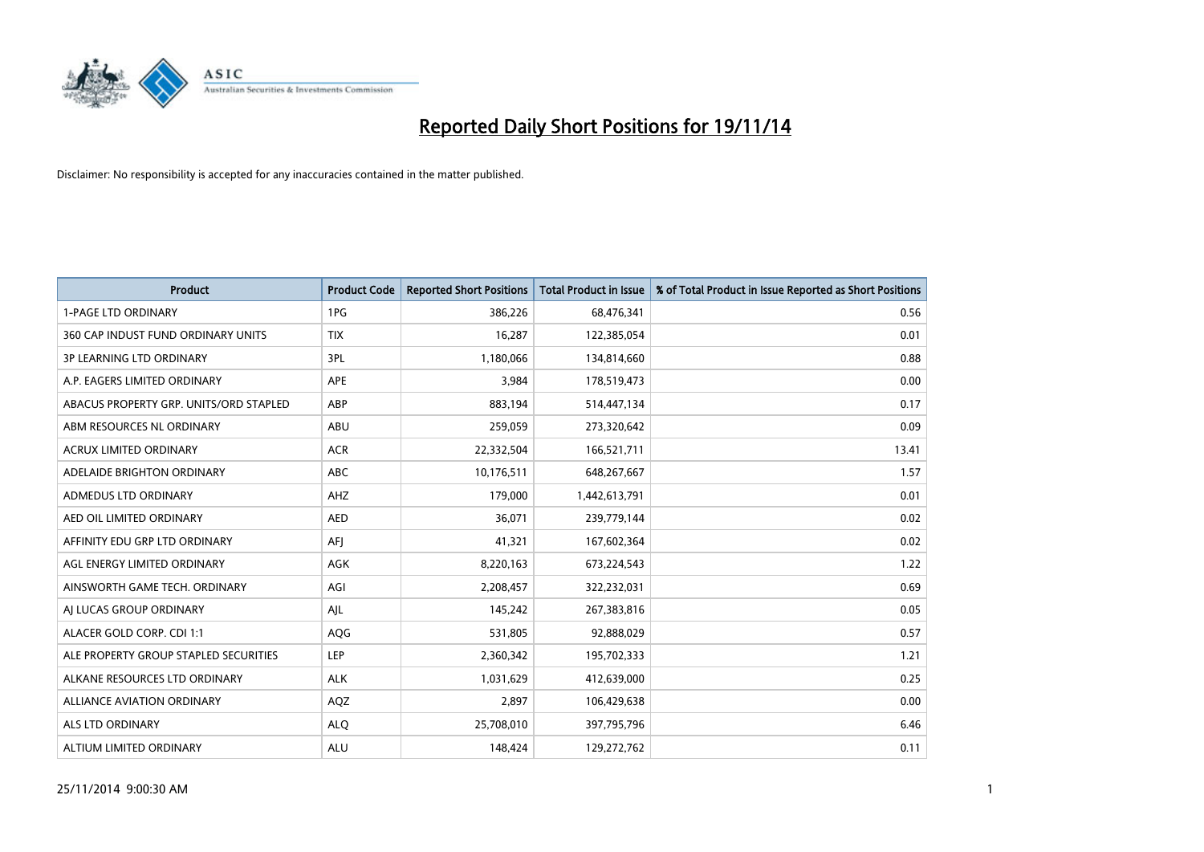

| Product                                | <b>Product Code</b> | <b>Reported Short Positions</b> | <b>Total Product in Issue</b> | % of Total Product in Issue Reported as Short Positions |
|----------------------------------------|---------------------|---------------------------------|-------------------------------|---------------------------------------------------------|
| <b>1-PAGE LTD ORDINARY</b>             | 1PG                 | 386,226                         | 68,476,341                    | 0.56                                                    |
| 360 CAP INDUST FUND ORDINARY UNITS     | <b>TIX</b>          | 16,287                          | 122,385,054                   | 0.01                                                    |
| <b>3P LEARNING LTD ORDINARY</b>        | 3PL                 | 1,180,066                       | 134,814,660                   | 0.88                                                    |
| A.P. EAGERS LIMITED ORDINARY           | <b>APE</b>          | 3,984                           | 178,519,473                   | 0.00                                                    |
| ABACUS PROPERTY GRP. UNITS/ORD STAPLED | ABP                 | 883,194                         | 514,447,134                   | 0.17                                                    |
| ABM RESOURCES NL ORDINARY              | <b>ABU</b>          | 259,059                         | 273,320,642                   | 0.09                                                    |
| <b>ACRUX LIMITED ORDINARY</b>          | <b>ACR</b>          | 22,332,504                      | 166,521,711                   | 13.41                                                   |
| ADELAIDE BRIGHTON ORDINARY             | ABC                 | 10,176,511                      | 648,267,667                   | 1.57                                                    |
| ADMEDUS LTD ORDINARY                   | AHZ                 | 179,000                         | 1,442,613,791                 | 0.01                                                    |
| AED OIL LIMITED ORDINARY               | <b>AED</b>          | 36,071                          | 239,779,144                   | 0.02                                                    |
| AFFINITY EDU GRP LTD ORDINARY          | AFI                 | 41,321                          | 167,602,364                   | 0.02                                                    |
| AGL ENERGY LIMITED ORDINARY            | AGK                 | 8,220,163                       | 673,224,543                   | 1.22                                                    |
| AINSWORTH GAME TECH. ORDINARY          | AGI                 | 2,208,457                       | 322,232,031                   | 0.69                                                    |
| AI LUCAS GROUP ORDINARY                | AJL                 | 145,242                         | 267,383,816                   | 0.05                                                    |
| ALACER GOLD CORP. CDI 1:1              | AQG                 | 531,805                         | 92,888,029                    | 0.57                                                    |
| ALE PROPERTY GROUP STAPLED SECURITIES  | LEP                 | 2,360,342                       | 195,702,333                   | 1.21                                                    |
| ALKANE RESOURCES LTD ORDINARY          | <b>ALK</b>          | 1,031,629                       | 412,639,000                   | 0.25                                                    |
| ALLIANCE AVIATION ORDINARY             | AQZ                 | 2,897                           | 106,429,638                   | 0.00                                                    |
| ALS LTD ORDINARY                       | <b>ALO</b>          | 25,708,010                      | 397,795,796                   | 6.46                                                    |
| ALTIUM LIMITED ORDINARY                | <b>ALU</b>          | 148,424                         | 129,272,762                   | 0.11                                                    |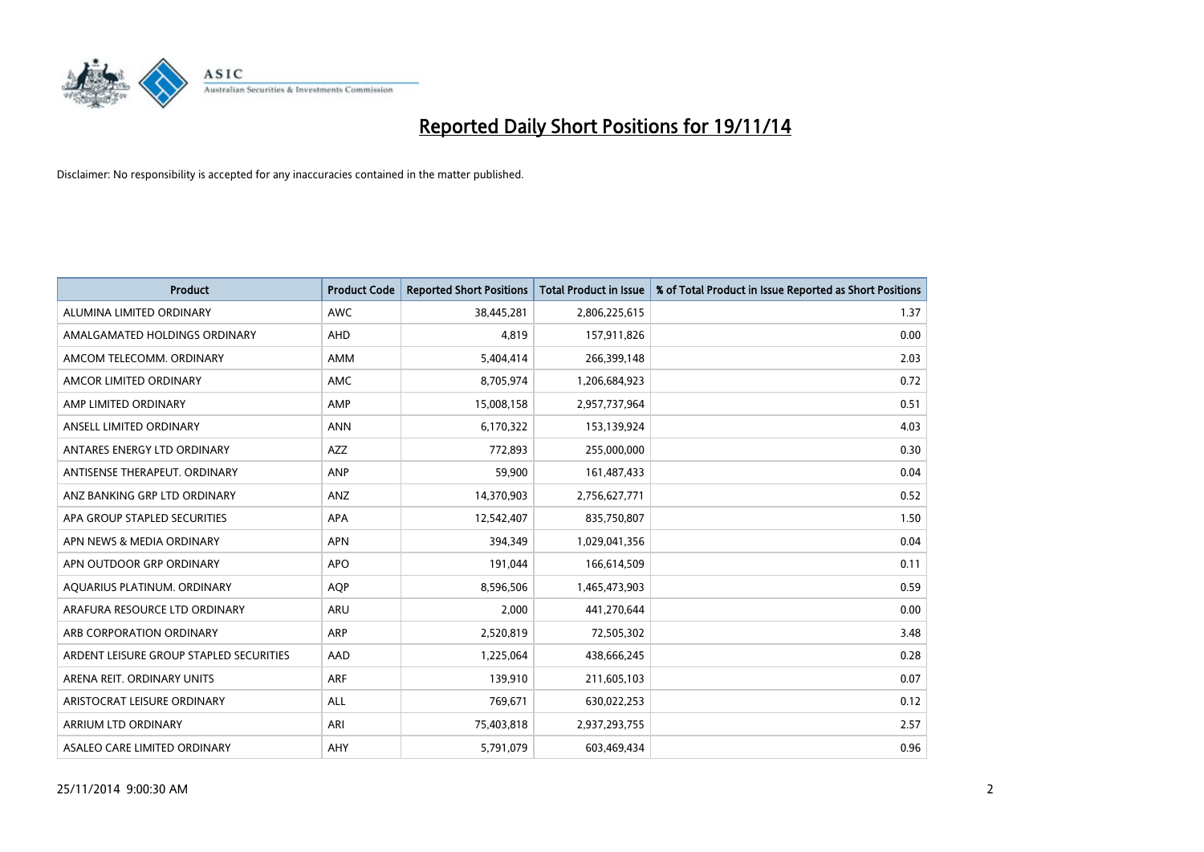

| <b>Product</b>                          | <b>Product Code</b> | <b>Reported Short Positions</b> | <b>Total Product in Issue</b> | % of Total Product in Issue Reported as Short Positions |
|-----------------------------------------|---------------------|---------------------------------|-------------------------------|---------------------------------------------------------|
| ALUMINA LIMITED ORDINARY                | <b>AWC</b>          | 38,445,281                      | 2,806,225,615                 | 1.37                                                    |
| AMALGAMATED HOLDINGS ORDINARY           | AHD                 | 4,819                           | 157,911,826                   | 0.00                                                    |
| AMCOM TELECOMM. ORDINARY                | <b>AMM</b>          | 5,404,414                       | 266,399,148                   | 2.03                                                    |
| AMCOR LIMITED ORDINARY                  | AMC                 | 8,705,974                       | 1,206,684,923                 | 0.72                                                    |
| AMP LIMITED ORDINARY                    | AMP                 | 15,008,158                      | 2,957,737,964                 | 0.51                                                    |
| ANSELL LIMITED ORDINARY                 | <b>ANN</b>          | 6,170,322                       | 153,139,924                   | 4.03                                                    |
| ANTARES ENERGY LTD ORDINARY             | <b>AZZ</b>          | 772,893                         | 255,000,000                   | 0.30                                                    |
| ANTISENSE THERAPEUT, ORDINARY           | ANP                 | 59,900                          | 161,487,433                   | 0.04                                                    |
| ANZ BANKING GRP LTD ORDINARY            | ANZ                 | 14,370,903                      | 2,756,627,771                 | 0.52                                                    |
| APA GROUP STAPLED SECURITIES            | <b>APA</b>          | 12,542,407                      | 835,750,807                   | 1.50                                                    |
| APN NEWS & MEDIA ORDINARY               | <b>APN</b>          | 394,349                         | 1,029,041,356                 | 0.04                                                    |
| APN OUTDOOR GRP ORDINARY                | <b>APO</b>          | 191,044                         | 166,614,509                   | 0.11                                                    |
| AQUARIUS PLATINUM. ORDINARY             | <b>AOP</b>          | 8,596,506                       | 1,465,473,903                 | 0.59                                                    |
| ARAFURA RESOURCE LTD ORDINARY           | ARU                 | 2,000                           | 441,270,644                   | 0.00                                                    |
| ARB CORPORATION ORDINARY                | <b>ARP</b>          | 2,520,819                       | 72,505,302                    | 3.48                                                    |
| ARDENT LEISURE GROUP STAPLED SECURITIES | AAD                 | 1,225,064                       | 438,666,245                   | 0.28                                                    |
| ARENA REIT. ORDINARY UNITS              | <b>ARF</b>          | 139,910                         | 211,605,103                   | 0.07                                                    |
| ARISTOCRAT LEISURE ORDINARY             | <b>ALL</b>          | 769,671                         | 630,022,253                   | 0.12                                                    |
| ARRIUM LTD ORDINARY                     | ARI                 | 75,403,818                      | 2,937,293,755                 | 2.57                                                    |
| ASALEO CARE LIMITED ORDINARY            | AHY                 | 5,791,079                       | 603,469,434                   | 0.96                                                    |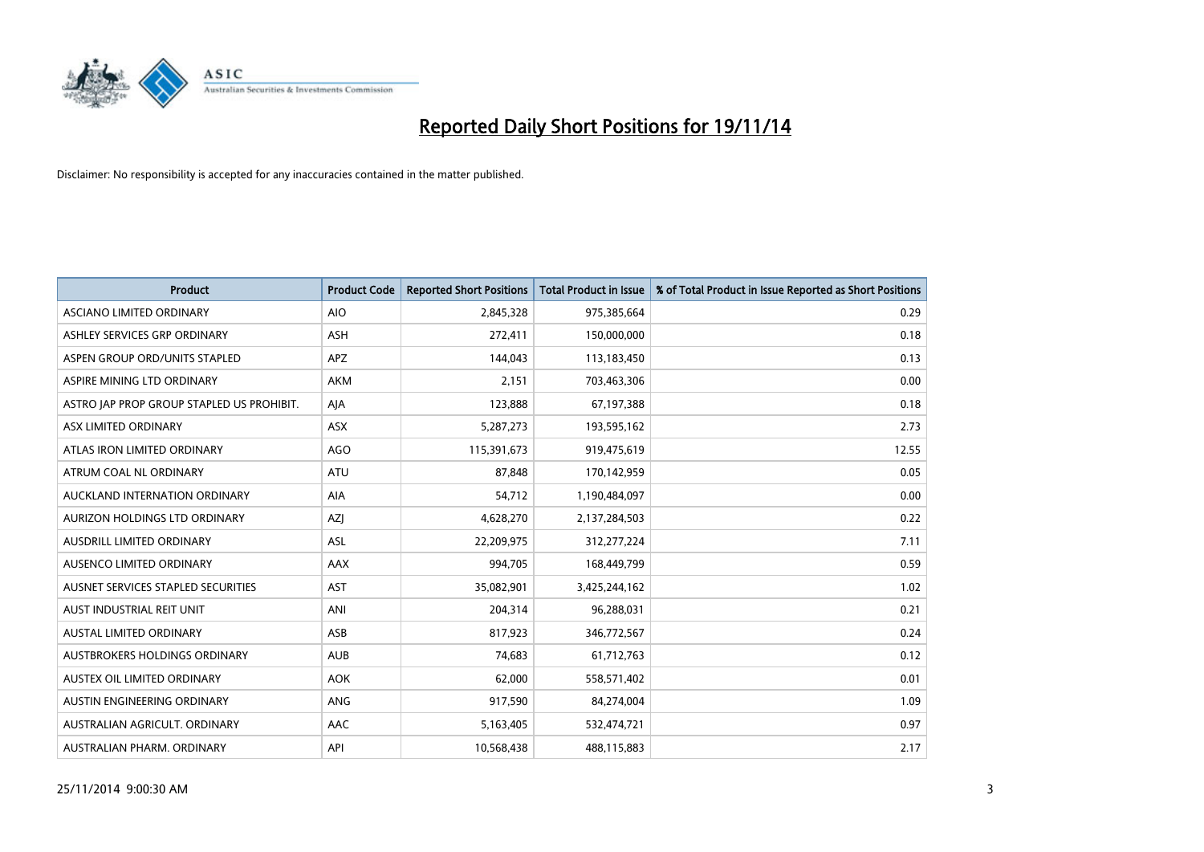

| <b>Product</b>                            | <b>Product Code</b> | <b>Reported Short Positions</b> | <b>Total Product in Issue</b> | % of Total Product in Issue Reported as Short Positions |
|-------------------------------------------|---------------------|---------------------------------|-------------------------------|---------------------------------------------------------|
| ASCIANO LIMITED ORDINARY                  | <b>AIO</b>          | 2,845,328                       | 975,385,664                   | 0.29                                                    |
| ASHLEY SERVICES GRP ORDINARY              | <b>ASH</b>          | 272,411                         | 150,000,000                   | 0.18                                                    |
| ASPEN GROUP ORD/UNITS STAPLED             | APZ                 | 144,043                         | 113,183,450                   | 0.13                                                    |
| ASPIRE MINING LTD ORDINARY                | <b>AKM</b>          | 2,151                           | 703,463,306                   | 0.00                                                    |
| ASTRO JAP PROP GROUP STAPLED US PROHIBIT. | AJA                 | 123,888                         | 67,197,388                    | 0.18                                                    |
| ASX LIMITED ORDINARY                      | ASX                 | 5,287,273                       | 193,595,162                   | 2.73                                                    |
| ATLAS IRON LIMITED ORDINARY               | <b>AGO</b>          | 115,391,673                     | 919,475,619                   | 12.55                                                   |
| ATRUM COAL NL ORDINARY                    | ATU                 | 87,848                          | 170,142,959                   | 0.05                                                    |
| AUCKLAND INTERNATION ORDINARY             | AIA                 | 54,712                          | 1,190,484,097                 | 0.00                                                    |
| AURIZON HOLDINGS LTD ORDINARY             | AZJ                 | 4,628,270                       | 2,137,284,503                 | 0.22                                                    |
| AUSDRILL LIMITED ORDINARY                 | ASL                 | 22,209,975                      | 312,277,224                   | 7.11                                                    |
| AUSENCO LIMITED ORDINARY                  | AAX                 | 994,705                         | 168,449,799                   | 0.59                                                    |
| AUSNET SERVICES STAPLED SECURITIES        | <b>AST</b>          | 35,082,901                      | 3,425,244,162                 | 1.02                                                    |
| AUST INDUSTRIAL REIT UNIT                 | ANI                 | 204,314                         | 96,288,031                    | 0.21                                                    |
| <b>AUSTAL LIMITED ORDINARY</b>            | ASB                 | 817,923                         | 346,772,567                   | 0.24                                                    |
| AUSTBROKERS HOLDINGS ORDINARY             | <b>AUB</b>          | 74,683                          | 61,712,763                    | 0.12                                                    |
| AUSTEX OIL LIMITED ORDINARY               | <b>AOK</b>          | 62,000                          | 558,571,402                   | 0.01                                                    |
| AUSTIN ENGINEERING ORDINARY               | ANG                 | 917,590                         | 84,274,004                    | 1.09                                                    |
| AUSTRALIAN AGRICULT, ORDINARY             | AAC                 | 5,163,405                       | 532,474,721                   | 0.97                                                    |
| AUSTRALIAN PHARM. ORDINARY                | API                 | 10,568,438                      | 488,115,883                   | 2.17                                                    |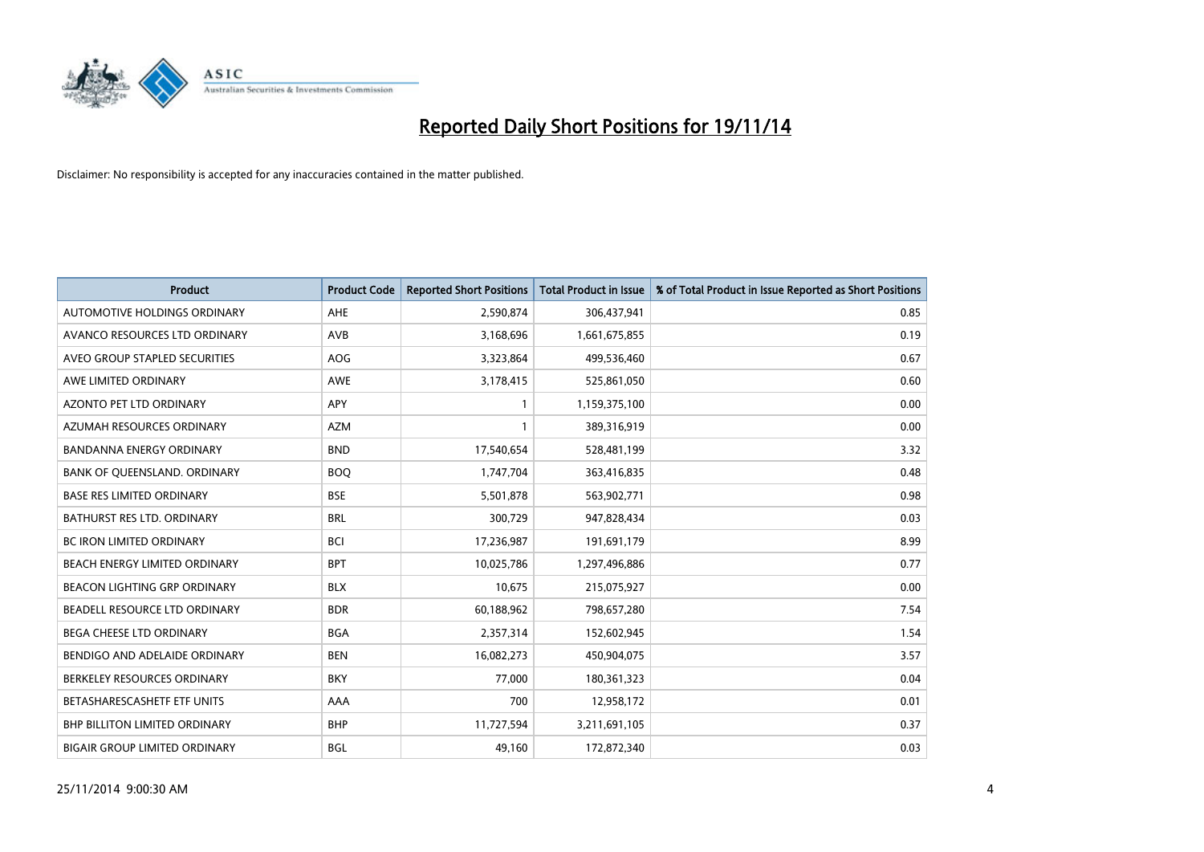

| <b>Product</b>                       | <b>Product Code</b> | <b>Reported Short Positions</b> | <b>Total Product in Issue</b> | % of Total Product in Issue Reported as Short Positions |
|--------------------------------------|---------------------|---------------------------------|-------------------------------|---------------------------------------------------------|
| <b>AUTOMOTIVE HOLDINGS ORDINARY</b>  | AHE                 | 2,590,874                       | 306,437,941                   | 0.85                                                    |
| AVANCO RESOURCES LTD ORDINARY        | AVB                 | 3,168,696                       | 1,661,675,855                 | 0.19                                                    |
| AVEO GROUP STAPLED SECURITIES        | <b>AOG</b>          | 3,323,864                       | 499,536,460                   | 0.67                                                    |
| AWE LIMITED ORDINARY                 | <b>AWE</b>          | 3,178,415                       | 525,861,050                   | 0.60                                                    |
| <b>AZONTO PET LTD ORDINARY</b>       | APY                 | $\mathbf{1}$                    | 1,159,375,100                 | 0.00                                                    |
| AZUMAH RESOURCES ORDINARY            | <b>AZM</b>          | $\mathbf{1}$                    | 389,316,919                   | 0.00                                                    |
| BANDANNA ENERGY ORDINARY             | <b>BND</b>          | 17,540,654                      | 528,481,199                   | 3.32                                                    |
| BANK OF QUEENSLAND. ORDINARY         | <b>BOQ</b>          | 1,747,704                       | 363,416,835                   | 0.48                                                    |
| <b>BASE RES LIMITED ORDINARY</b>     | <b>BSE</b>          | 5,501,878                       | 563,902,771                   | 0.98                                                    |
| <b>BATHURST RES LTD. ORDINARY</b>    | <b>BRL</b>          | 300,729                         | 947,828,434                   | 0.03                                                    |
| <b>BC IRON LIMITED ORDINARY</b>      | BCI                 | 17,236,987                      | 191,691,179                   | 8.99                                                    |
| BEACH ENERGY LIMITED ORDINARY        | <b>BPT</b>          | 10,025,786                      | 1,297,496,886                 | 0.77                                                    |
| <b>BEACON LIGHTING GRP ORDINARY</b>  | <b>BLX</b>          | 10,675                          | 215,075,927                   | 0.00                                                    |
| BEADELL RESOURCE LTD ORDINARY        | <b>BDR</b>          | 60,188,962                      | 798,657,280                   | 7.54                                                    |
| BEGA CHEESE LTD ORDINARY             | <b>BGA</b>          | 2,357,314                       | 152,602,945                   | 1.54                                                    |
| BENDIGO AND ADELAIDE ORDINARY        | <b>BEN</b>          | 16,082,273                      | 450,904,075                   | 3.57                                                    |
| BERKELEY RESOURCES ORDINARY          | <b>BKY</b>          | 77,000                          | 180,361,323                   | 0.04                                                    |
| BETASHARESCASHETF ETF UNITS          | AAA                 | 700                             | 12,958,172                    | 0.01                                                    |
| <b>BHP BILLITON LIMITED ORDINARY</b> | <b>BHP</b>          | 11,727,594                      | 3,211,691,105                 | 0.37                                                    |
| <b>BIGAIR GROUP LIMITED ORDINARY</b> | BGL                 | 49,160                          | 172,872,340                   | 0.03                                                    |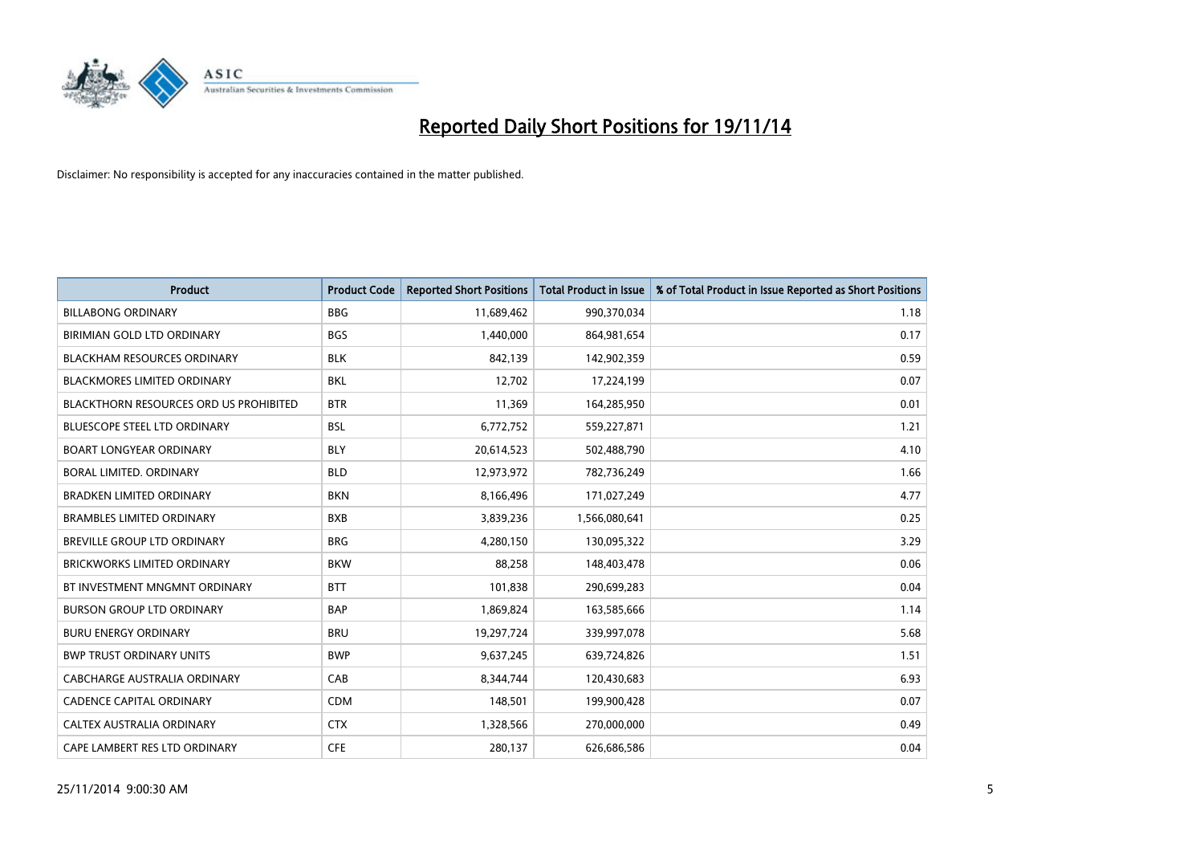

| <b>Product</b>                         | <b>Product Code</b> | <b>Reported Short Positions</b> | <b>Total Product in Issue</b> | % of Total Product in Issue Reported as Short Positions |
|----------------------------------------|---------------------|---------------------------------|-------------------------------|---------------------------------------------------------|
| <b>BILLABONG ORDINARY</b>              | <b>BBG</b>          | 11,689,462                      | 990,370,034                   | 1.18                                                    |
| BIRIMIAN GOLD LTD ORDINARY             | <b>BGS</b>          | 1,440,000                       | 864,981,654                   | 0.17                                                    |
| <b>BLACKHAM RESOURCES ORDINARY</b>     | <b>BLK</b>          | 842,139                         | 142,902,359                   | 0.59                                                    |
| <b>BLACKMORES LIMITED ORDINARY</b>     | <b>BKL</b>          | 12,702                          | 17,224,199                    | 0.07                                                    |
| BLACKTHORN RESOURCES ORD US PROHIBITED | <b>BTR</b>          | 11,369                          | 164,285,950                   | 0.01                                                    |
| <b>BLUESCOPE STEEL LTD ORDINARY</b>    | <b>BSL</b>          | 6,772,752                       | 559,227,871                   | 1.21                                                    |
| <b>BOART LONGYEAR ORDINARY</b>         | <b>BLY</b>          | 20,614,523                      | 502,488,790                   | 4.10                                                    |
| <b>BORAL LIMITED, ORDINARY</b>         | <b>BLD</b>          | 12,973,972                      | 782,736,249                   | 1.66                                                    |
| <b>BRADKEN LIMITED ORDINARY</b>        | <b>BKN</b>          | 8,166,496                       | 171,027,249                   | 4.77                                                    |
| <b>BRAMBLES LIMITED ORDINARY</b>       | <b>BXB</b>          | 3,839,236                       | 1,566,080,641                 | 0.25                                                    |
| <b>BREVILLE GROUP LTD ORDINARY</b>     | <b>BRG</b>          | 4,280,150                       | 130,095,322                   | 3.29                                                    |
| <b>BRICKWORKS LIMITED ORDINARY</b>     | <b>BKW</b>          | 88,258                          | 148,403,478                   | 0.06                                                    |
| BT INVESTMENT MNGMNT ORDINARY          | <b>BTT</b>          | 101,838                         | 290,699,283                   | 0.04                                                    |
| <b>BURSON GROUP LTD ORDINARY</b>       | <b>BAP</b>          | 1,869,824                       | 163,585,666                   | 1.14                                                    |
| <b>BURU ENERGY ORDINARY</b>            | <b>BRU</b>          | 19,297,724                      | 339,997,078                   | 5.68                                                    |
| <b>BWP TRUST ORDINARY UNITS</b>        | <b>BWP</b>          | 9,637,245                       | 639,724,826                   | 1.51                                                    |
| <b>CABCHARGE AUSTRALIA ORDINARY</b>    | CAB                 | 8,344,744                       | 120,430,683                   | 6.93                                                    |
| <b>CADENCE CAPITAL ORDINARY</b>        | <b>CDM</b>          | 148,501                         | 199,900,428                   | 0.07                                                    |
| CALTEX AUSTRALIA ORDINARY              | <b>CTX</b>          | 1,328,566                       | 270,000,000                   | 0.49                                                    |
| CAPE LAMBERT RES LTD ORDINARY          | <b>CFE</b>          | 280,137                         | 626,686,586                   | 0.04                                                    |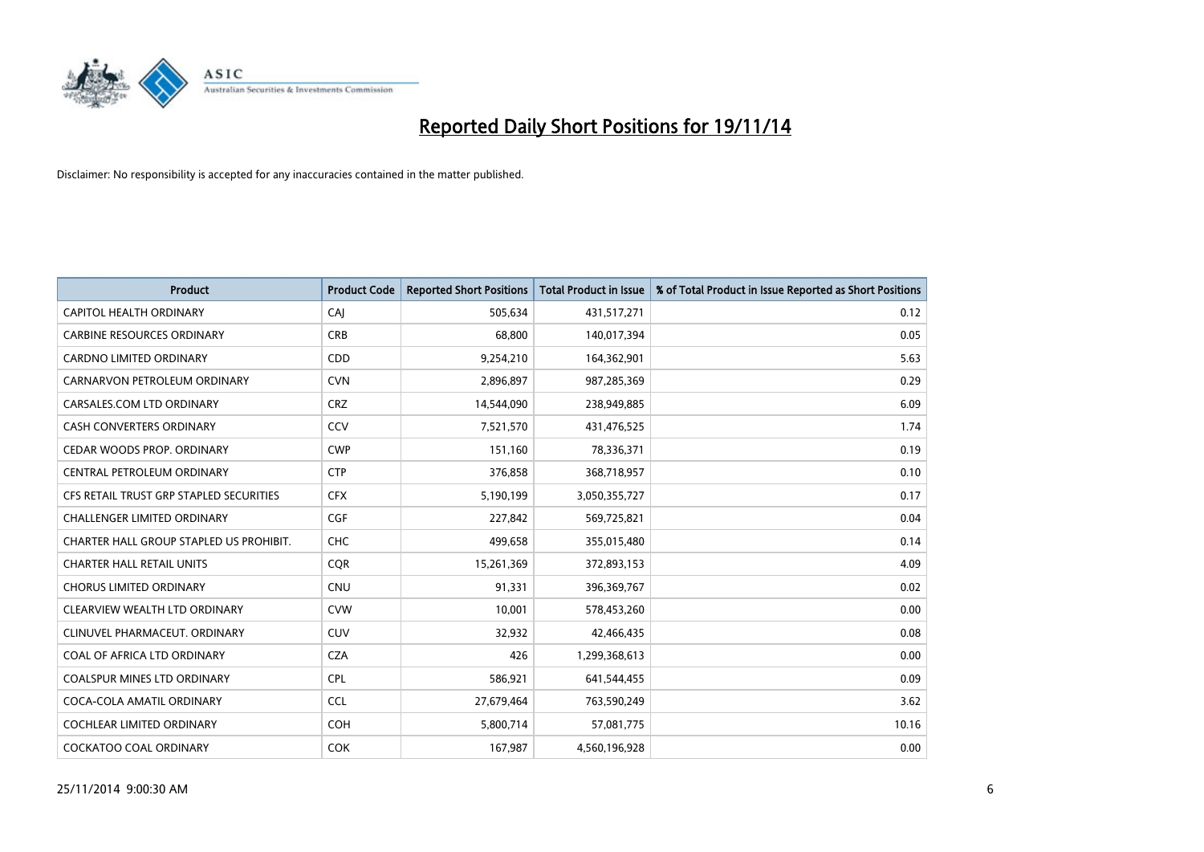

| <b>Product</b>                          | <b>Product Code</b> | <b>Reported Short Positions</b> | <b>Total Product in Issue</b> | % of Total Product in Issue Reported as Short Positions |
|-----------------------------------------|---------------------|---------------------------------|-------------------------------|---------------------------------------------------------|
| <b>CAPITOL HEALTH ORDINARY</b>          | CAJ                 | 505,634                         | 431,517,271                   | 0.12                                                    |
| <b>CARBINE RESOURCES ORDINARY</b>       | <b>CRB</b>          | 68,800                          | 140,017,394                   | 0.05                                                    |
| <b>CARDNO LIMITED ORDINARY</b>          | CDD                 | 9,254,210                       | 164,362,901                   | 5.63                                                    |
| CARNARVON PETROLEUM ORDINARY            | <b>CVN</b>          | 2,896,897                       | 987,285,369                   | 0.29                                                    |
| CARSALES.COM LTD ORDINARY               | <b>CRZ</b>          | 14,544,090                      | 238,949,885                   | 6.09                                                    |
| <b>CASH CONVERTERS ORDINARY</b>         | CCV                 | 7,521,570                       | 431,476,525                   | 1.74                                                    |
| CEDAR WOODS PROP. ORDINARY              | <b>CWP</b>          | 151,160                         | 78,336,371                    | 0.19                                                    |
| CENTRAL PETROLEUM ORDINARY              | <b>CTP</b>          | 376,858                         | 368,718,957                   | 0.10                                                    |
| CFS RETAIL TRUST GRP STAPLED SECURITIES | <b>CFX</b>          | 5,190,199                       | 3,050,355,727                 | 0.17                                                    |
| <b>CHALLENGER LIMITED ORDINARY</b>      | <b>CGF</b>          | 227,842                         | 569,725,821                   | 0.04                                                    |
| CHARTER HALL GROUP STAPLED US PROHIBIT. | <b>CHC</b>          | 499,658                         | 355,015,480                   | 0.14                                                    |
| <b>CHARTER HALL RETAIL UNITS</b>        | <b>CQR</b>          | 15,261,369                      | 372,893,153                   | 4.09                                                    |
| <b>CHORUS LIMITED ORDINARY</b>          | <b>CNU</b>          | 91,331                          | 396,369,767                   | 0.02                                                    |
| CLEARVIEW WEALTH LTD ORDINARY           | <b>CVW</b>          | 10,001                          | 578,453,260                   | 0.00                                                    |
| CLINUVEL PHARMACEUT, ORDINARY           | CUV                 | 32,932                          | 42,466,435                    | 0.08                                                    |
| COAL OF AFRICA LTD ORDINARY             | <b>CZA</b>          | 426                             | 1,299,368,613                 | 0.00                                                    |
| COALSPUR MINES LTD ORDINARY             | <b>CPL</b>          | 586,921                         | 641,544,455                   | 0.09                                                    |
| COCA-COLA AMATIL ORDINARY               | <b>CCL</b>          | 27,679,464                      | 763,590,249                   | 3.62                                                    |
| <b>COCHLEAR LIMITED ORDINARY</b>        | <b>COH</b>          | 5,800,714                       | 57,081,775                    | 10.16                                                   |
| COCKATOO COAL ORDINARY                  | <b>COK</b>          | 167,987                         | 4,560,196,928                 | 0.00                                                    |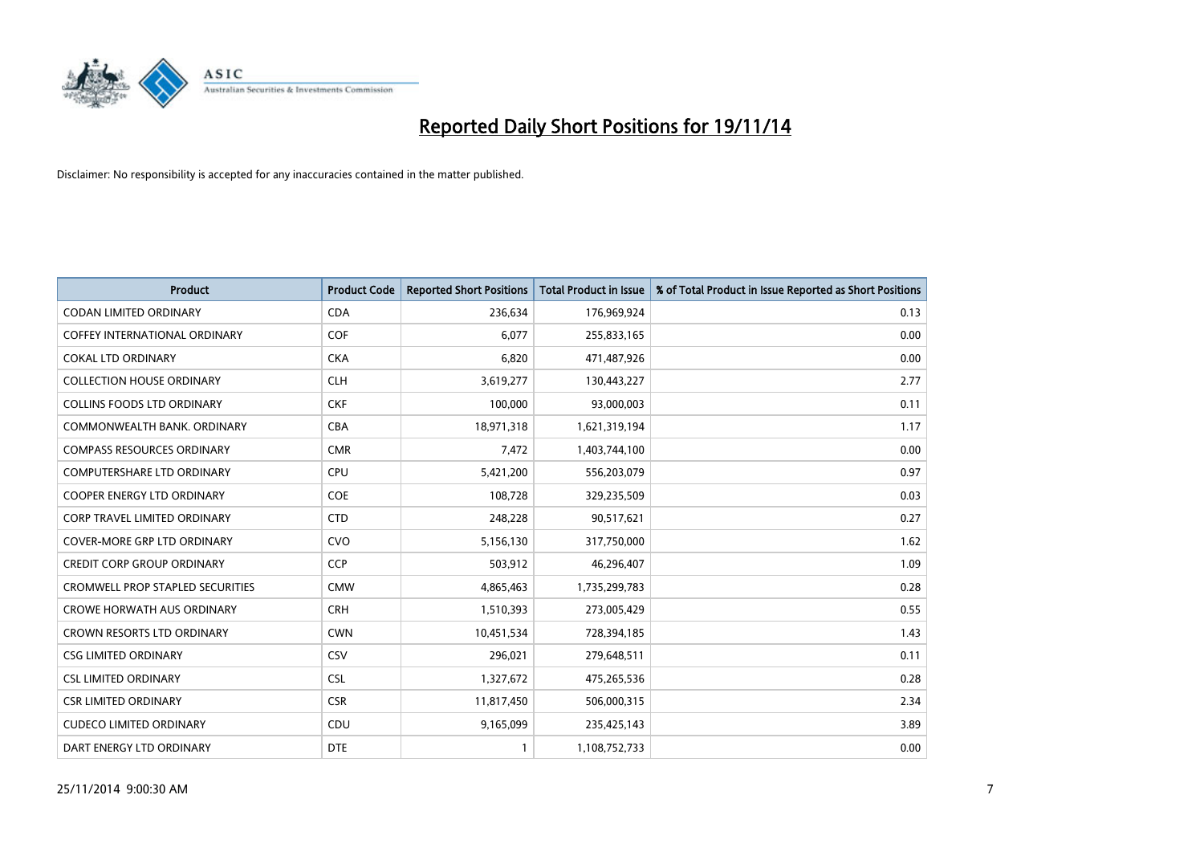

| <b>Product</b>                          | <b>Product Code</b> | <b>Reported Short Positions</b> | <b>Total Product in Issue</b> | % of Total Product in Issue Reported as Short Positions |
|-----------------------------------------|---------------------|---------------------------------|-------------------------------|---------------------------------------------------------|
| <b>CODAN LIMITED ORDINARY</b>           | <b>CDA</b>          | 236,634                         | 176,969,924                   | 0.13                                                    |
| COFFEY INTERNATIONAL ORDINARY           | <b>COF</b>          | 6,077                           | 255,833,165                   | 0.00                                                    |
| <b>COKAL LTD ORDINARY</b>               | <b>CKA</b>          | 6,820                           | 471,487,926                   | 0.00                                                    |
| <b>COLLECTION HOUSE ORDINARY</b>        | <b>CLH</b>          | 3,619,277                       | 130,443,227                   | 2.77                                                    |
| <b>COLLINS FOODS LTD ORDINARY</b>       | <b>CKF</b>          | 100,000                         | 93,000,003                    | 0.11                                                    |
| COMMONWEALTH BANK, ORDINARY             | <b>CBA</b>          | 18,971,318                      | 1,621,319,194                 | 1.17                                                    |
| <b>COMPASS RESOURCES ORDINARY</b>       | <b>CMR</b>          | 7,472                           | 1,403,744,100                 | 0.00                                                    |
| <b>COMPUTERSHARE LTD ORDINARY</b>       | <b>CPU</b>          | 5,421,200                       | 556,203,079                   | 0.97                                                    |
| <b>COOPER ENERGY LTD ORDINARY</b>       | <b>COE</b>          | 108,728                         | 329,235,509                   | 0.03                                                    |
| <b>CORP TRAVEL LIMITED ORDINARY</b>     | <b>CTD</b>          | 248,228                         | 90,517,621                    | 0.27                                                    |
| COVER-MORE GRP LTD ORDINARY             | <b>CVO</b>          | 5,156,130                       | 317,750,000                   | 1.62                                                    |
| <b>CREDIT CORP GROUP ORDINARY</b>       | <b>CCP</b>          | 503,912                         | 46,296,407                    | 1.09                                                    |
| <b>CROMWELL PROP STAPLED SECURITIES</b> | <b>CMW</b>          | 4,865,463                       | 1,735,299,783                 | 0.28                                                    |
| CROWE HORWATH AUS ORDINARY              | <b>CRH</b>          | 1,510,393                       | 273,005,429                   | 0.55                                                    |
| <b>CROWN RESORTS LTD ORDINARY</b>       | <b>CWN</b>          | 10,451,534                      | 728,394,185                   | 1.43                                                    |
| <b>CSG LIMITED ORDINARY</b>             | CSV                 | 296,021                         | 279,648,511                   | 0.11                                                    |
| <b>CSL LIMITED ORDINARY</b>             | <b>CSL</b>          | 1,327,672                       | 475,265,536                   | 0.28                                                    |
| <b>CSR LIMITED ORDINARY</b>             | <b>CSR</b>          | 11,817,450                      | 506,000,315                   | 2.34                                                    |
| <b>CUDECO LIMITED ORDINARY</b>          | CDU                 | 9,165,099                       | 235,425,143                   | 3.89                                                    |
| DART ENERGY LTD ORDINARY                | <b>DTE</b>          | 1                               | 1,108,752,733                 | 0.00                                                    |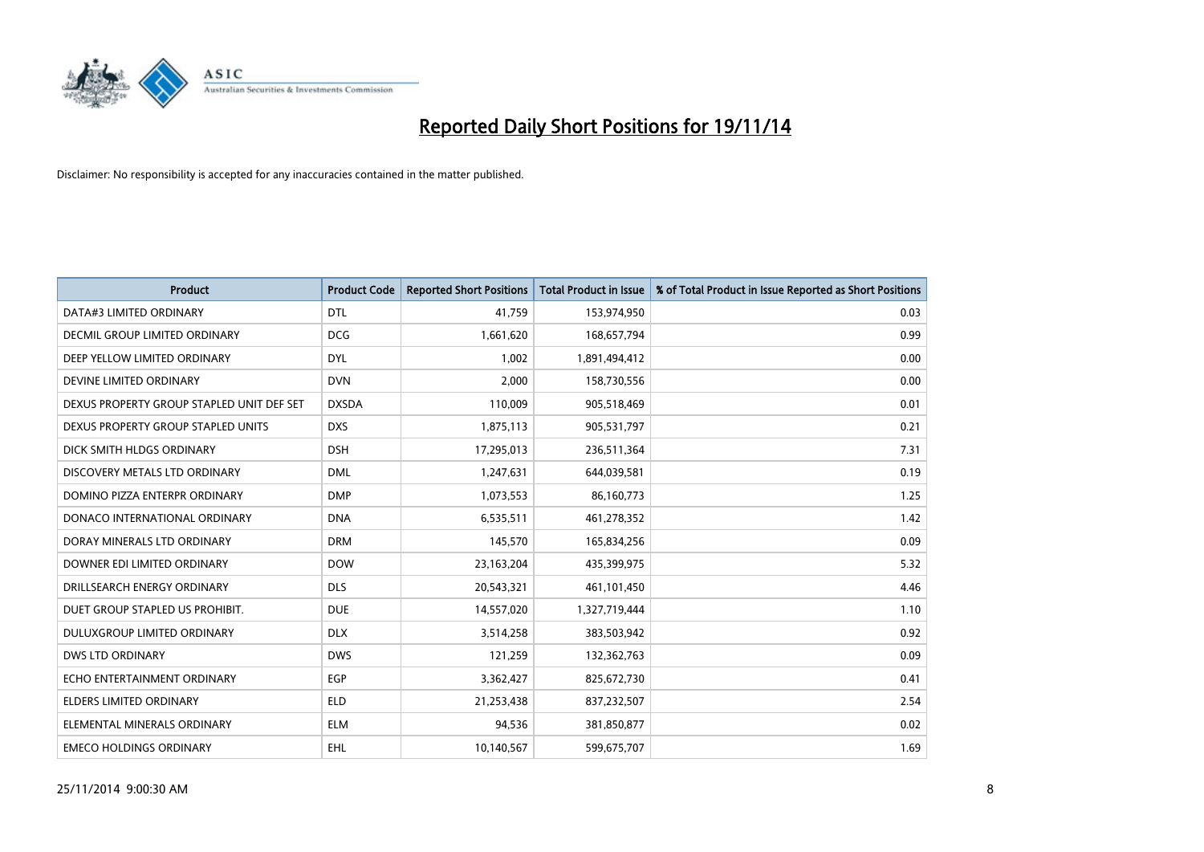

| <b>Product</b>                            | <b>Product Code</b> | <b>Reported Short Positions</b> | <b>Total Product in Issue</b> | % of Total Product in Issue Reported as Short Positions |
|-------------------------------------------|---------------------|---------------------------------|-------------------------------|---------------------------------------------------------|
| DATA#3 LIMITED ORDINARY                   | <b>DTL</b>          | 41,759                          | 153,974,950                   | 0.03                                                    |
| DECMIL GROUP LIMITED ORDINARY             | <b>DCG</b>          | 1,661,620                       | 168,657,794                   | 0.99                                                    |
| DEEP YELLOW LIMITED ORDINARY              | <b>DYL</b>          | 1,002                           | 1,891,494,412                 | 0.00                                                    |
| DEVINE LIMITED ORDINARY                   | <b>DVN</b>          | 2,000                           | 158,730,556                   | 0.00                                                    |
| DEXUS PROPERTY GROUP STAPLED UNIT DEF SET | <b>DXSDA</b>        | 110,009                         | 905,518,469                   | 0.01                                                    |
| DEXUS PROPERTY GROUP STAPLED UNITS        | <b>DXS</b>          | 1,875,113                       | 905,531,797                   | 0.21                                                    |
| DICK SMITH HLDGS ORDINARY                 | <b>DSH</b>          | 17,295,013                      | 236,511,364                   | 7.31                                                    |
| DISCOVERY METALS LTD ORDINARY             | <b>DML</b>          | 1,247,631                       | 644,039,581                   | 0.19                                                    |
| DOMINO PIZZA ENTERPR ORDINARY             | <b>DMP</b>          | 1,073,553                       | 86,160,773                    | 1.25                                                    |
| DONACO INTERNATIONAL ORDINARY             | <b>DNA</b>          | 6,535,511                       | 461,278,352                   | 1.42                                                    |
| DORAY MINERALS LTD ORDINARY               | <b>DRM</b>          | 145,570                         | 165,834,256                   | 0.09                                                    |
| DOWNER EDI LIMITED ORDINARY               | <b>DOW</b>          | 23,163,204                      | 435,399,975                   | 5.32                                                    |
| DRILLSEARCH ENERGY ORDINARY               | <b>DLS</b>          | 20,543,321                      | 461,101,450                   | 4.46                                                    |
| DUET GROUP STAPLED US PROHIBIT.           | <b>DUE</b>          | 14,557,020                      | 1,327,719,444                 | 1.10                                                    |
| DULUXGROUP LIMITED ORDINARY               | <b>DLX</b>          | 3,514,258                       | 383,503,942                   | 0.92                                                    |
| DWS LTD ORDINARY                          | <b>DWS</b>          | 121,259                         | 132,362,763                   | 0.09                                                    |
| ECHO ENTERTAINMENT ORDINARY               | <b>EGP</b>          | 3,362,427                       | 825,672,730                   | 0.41                                                    |
| <b>ELDERS LIMITED ORDINARY</b>            | <b>ELD</b>          | 21,253,438                      | 837,232,507                   | 2.54                                                    |
| ELEMENTAL MINERALS ORDINARY               | <b>ELM</b>          | 94,536                          | 381,850,877                   | 0.02                                                    |
| <b>EMECO HOLDINGS ORDINARY</b>            | <b>EHL</b>          | 10,140,567                      | 599,675,707                   | 1.69                                                    |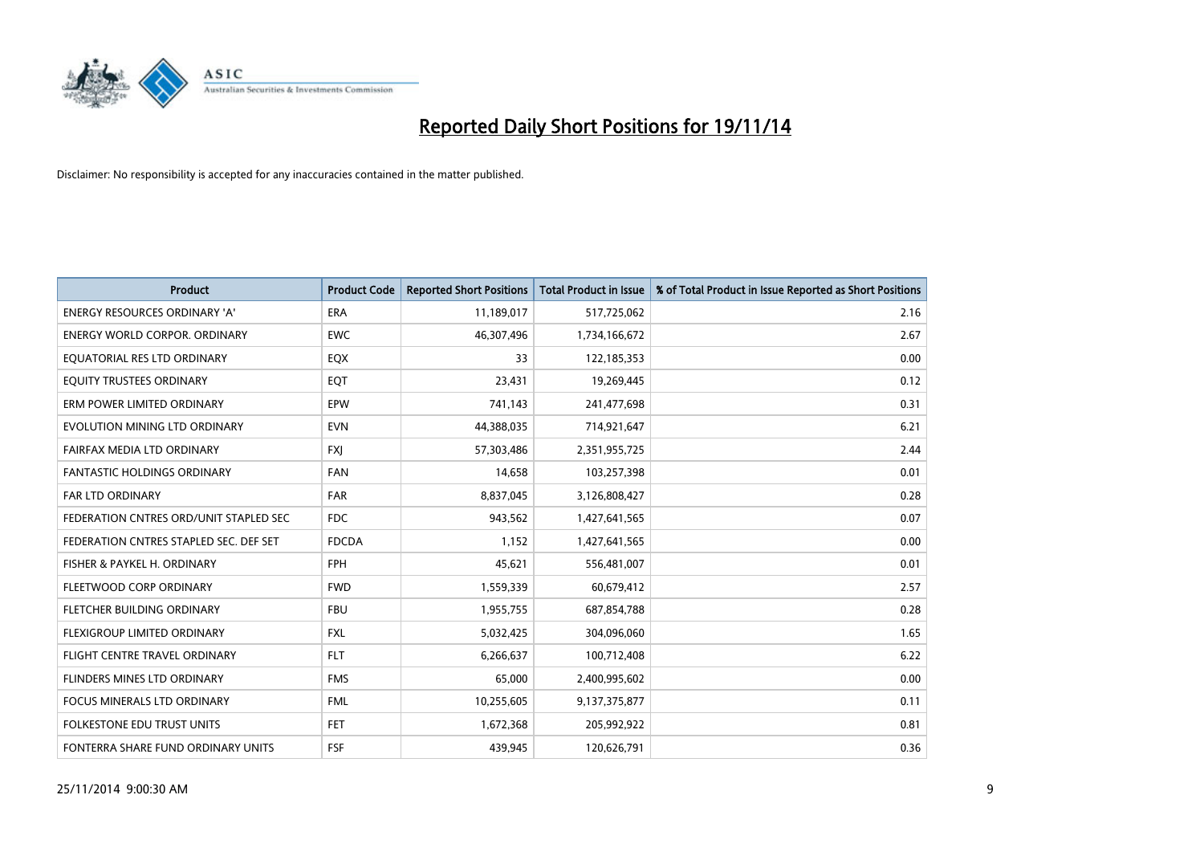

| <b>Product</b>                         | <b>Product Code</b> | <b>Reported Short Positions</b> | <b>Total Product in Issue</b> | % of Total Product in Issue Reported as Short Positions |
|----------------------------------------|---------------------|---------------------------------|-------------------------------|---------------------------------------------------------|
| <b>ENERGY RESOURCES ORDINARY 'A'</b>   | <b>ERA</b>          | 11,189,017                      | 517,725,062                   | 2.16                                                    |
| <b>ENERGY WORLD CORPOR, ORDINARY</b>   | <b>EWC</b>          | 46,307,496                      | 1,734,166,672                 | 2.67                                                    |
| EQUATORIAL RES LTD ORDINARY            | EQX                 | 33                              | 122,185,353                   | 0.00                                                    |
| EQUITY TRUSTEES ORDINARY               | EQT                 | 23,431                          | 19,269,445                    | 0.12                                                    |
| ERM POWER LIMITED ORDINARY             | EPW                 | 741,143                         | 241,477,698                   | 0.31                                                    |
| EVOLUTION MINING LTD ORDINARY          | <b>EVN</b>          | 44,388,035                      | 714,921,647                   | 6.21                                                    |
| FAIRFAX MEDIA LTD ORDINARY             | <b>FXJ</b>          | 57,303,486                      | 2,351,955,725                 | 2.44                                                    |
| <b>FANTASTIC HOLDINGS ORDINARY</b>     | <b>FAN</b>          | 14,658                          | 103,257,398                   | 0.01                                                    |
| <b>FAR LTD ORDINARY</b>                | <b>FAR</b>          | 8,837,045                       | 3,126,808,427                 | 0.28                                                    |
| FEDERATION CNTRES ORD/UNIT STAPLED SEC | <b>FDC</b>          | 943,562                         | 1,427,641,565                 | 0.07                                                    |
| FEDERATION CNTRES STAPLED SEC. DEF SET | <b>FDCDA</b>        | 1,152                           | 1,427,641,565                 | 0.00                                                    |
| FISHER & PAYKEL H. ORDINARY            | <b>FPH</b>          | 45,621                          | 556,481,007                   | 0.01                                                    |
| FLEETWOOD CORP ORDINARY                | <b>FWD</b>          | 1,559,339                       | 60,679,412                    | 2.57                                                    |
| FLETCHER BUILDING ORDINARY             | <b>FBU</b>          | 1,955,755                       | 687,854,788                   | 0.28                                                    |
| FLEXIGROUP LIMITED ORDINARY            | <b>FXL</b>          | 5,032,425                       | 304,096,060                   | 1.65                                                    |
| FLIGHT CENTRE TRAVEL ORDINARY          | <b>FLT</b>          | 6,266,637                       | 100,712,408                   | 6.22                                                    |
| FLINDERS MINES LTD ORDINARY            | <b>FMS</b>          | 65,000                          | 2,400,995,602                 | 0.00                                                    |
| <b>FOCUS MINERALS LTD ORDINARY</b>     | <b>FML</b>          | 10,255,605                      | 9,137,375,877                 | 0.11                                                    |
| <b>FOLKESTONE EDU TRUST UNITS</b>      | <b>FET</b>          | 1,672,368                       | 205,992,922                   | 0.81                                                    |
| FONTERRA SHARE FUND ORDINARY UNITS     | <b>FSF</b>          | 439,945                         | 120,626,791                   | 0.36                                                    |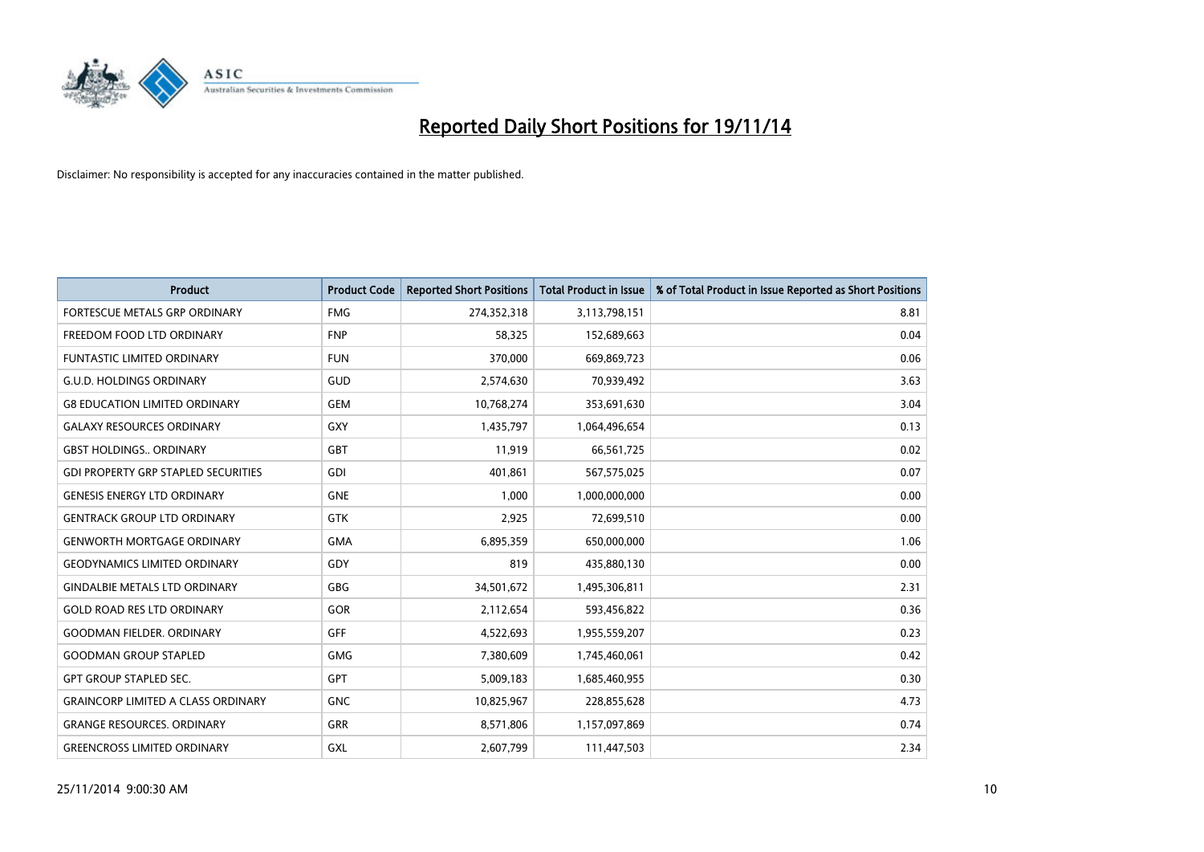

| <b>Product</b>                             | <b>Product Code</b> | <b>Reported Short Positions</b> | <b>Total Product in Issue</b> | % of Total Product in Issue Reported as Short Positions |
|--------------------------------------------|---------------------|---------------------------------|-------------------------------|---------------------------------------------------------|
| FORTESCUE METALS GRP ORDINARY              | <b>FMG</b>          | 274,352,318                     | 3,113,798,151                 | 8.81                                                    |
| FREEDOM FOOD LTD ORDINARY                  | <b>FNP</b>          | 58,325                          | 152,689,663                   | 0.04                                                    |
| <b>FUNTASTIC LIMITED ORDINARY</b>          | <b>FUN</b>          | 370,000                         | 669,869,723                   | 0.06                                                    |
| <b>G.U.D. HOLDINGS ORDINARY</b>            | GUD                 | 2,574,630                       | 70,939,492                    | 3.63                                                    |
| <b>G8 EDUCATION LIMITED ORDINARY</b>       | <b>GEM</b>          | 10,768,274                      | 353,691,630                   | 3.04                                                    |
| <b>GALAXY RESOURCES ORDINARY</b>           | <b>GXY</b>          | 1,435,797                       | 1,064,496,654                 | 0.13                                                    |
| <b>GBST HOLDINGS., ORDINARY</b>            | <b>GBT</b>          | 11,919                          | 66,561,725                    | 0.02                                                    |
| <b>GDI PROPERTY GRP STAPLED SECURITIES</b> | GDI                 | 401,861                         | 567,575,025                   | 0.07                                                    |
| <b>GENESIS ENERGY LTD ORDINARY</b>         | <b>GNE</b>          | 1,000                           | 1,000,000,000                 | 0.00                                                    |
| <b>GENTRACK GROUP LTD ORDINARY</b>         | <b>GTK</b>          | 2,925                           | 72,699,510                    | 0.00                                                    |
| <b>GENWORTH MORTGAGE ORDINARY</b>          | GMA                 | 6,895,359                       | 650,000,000                   | 1.06                                                    |
| <b>GEODYNAMICS LIMITED ORDINARY</b>        | <b>GDY</b>          | 819                             | 435,880,130                   | 0.00                                                    |
| <b>GINDALBIE METALS LTD ORDINARY</b>       | <b>GBG</b>          | 34,501,672                      | 1,495,306,811                 | 2.31                                                    |
| <b>GOLD ROAD RES LTD ORDINARY</b>          | GOR                 | 2,112,654                       | 593,456,822                   | 0.36                                                    |
| <b>GOODMAN FIELDER, ORDINARY</b>           | <b>GFF</b>          | 4,522,693                       | 1,955,559,207                 | 0.23                                                    |
| <b>GOODMAN GROUP STAPLED</b>               | <b>GMG</b>          | 7,380,609                       | 1,745,460,061                 | 0.42                                                    |
| <b>GPT GROUP STAPLED SEC.</b>              | GPT                 | 5,009,183                       | 1,685,460,955                 | 0.30                                                    |
| <b>GRAINCORP LIMITED A CLASS ORDINARY</b>  | <b>GNC</b>          | 10,825,967                      | 228,855,628                   | 4.73                                                    |
| <b>GRANGE RESOURCES, ORDINARY</b>          | <b>GRR</b>          | 8,571,806                       | 1,157,097,869                 | 0.74                                                    |
| <b>GREENCROSS LIMITED ORDINARY</b>         | GXL                 | 2,607,799                       | 111,447,503                   | 2.34                                                    |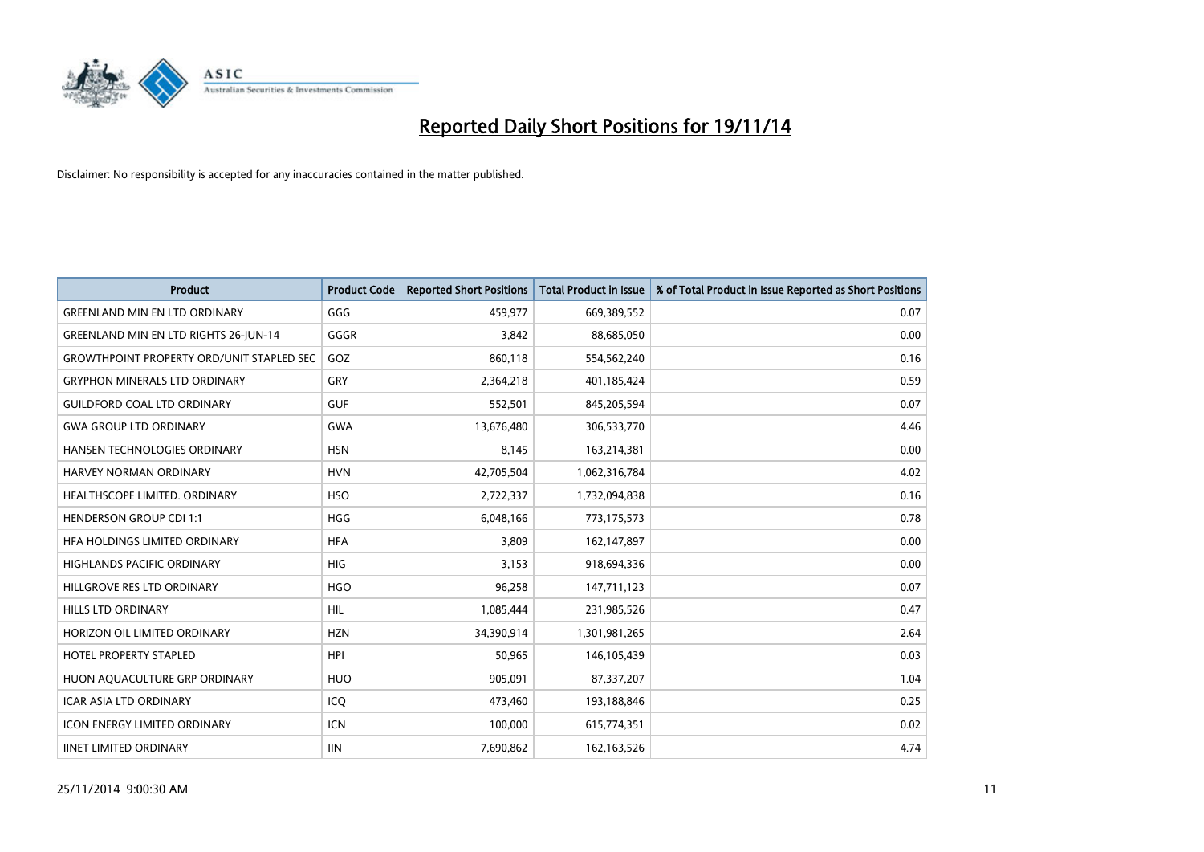

| <b>Product</b>                                   | <b>Product Code</b> | <b>Reported Short Positions</b> | <b>Total Product in Issue</b> | % of Total Product in Issue Reported as Short Positions |
|--------------------------------------------------|---------------------|---------------------------------|-------------------------------|---------------------------------------------------------|
| <b>GREENLAND MIN EN LTD ORDINARY</b>             | GGG                 | 459,977                         | 669,389,552                   | 0.07                                                    |
| GREENLAND MIN EN LTD RIGHTS 26-JUN-14            | GGGR                | 3,842                           | 88,685,050                    | 0.00                                                    |
| <b>GROWTHPOINT PROPERTY ORD/UNIT STAPLED SEC</b> | GOZ                 | 860,118                         | 554,562,240                   | 0.16                                                    |
| <b>GRYPHON MINERALS LTD ORDINARY</b>             | GRY                 | 2,364,218                       | 401,185,424                   | 0.59                                                    |
| <b>GUILDFORD COAL LTD ORDINARY</b>               | <b>GUF</b>          | 552,501                         | 845,205,594                   | 0.07                                                    |
| <b>GWA GROUP LTD ORDINARY</b>                    | <b>GWA</b>          | 13,676,480                      | 306,533,770                   | 4.46                                                    |
| <b>HANSEN TECHNOLOGIES ORDINARY</b>              | <b>HSN</b>          | 8,145                           | 163,214,381                   | 0.00                                                    |
| <b>HARVEY NORMAN ORDINARY</b>                    | <b>HVN</b>          | 42,705,504                      | 1,062,316,784                 | 4.02                                                    |
| HEALTHSCOPE LIMITED. ORDINARY                    | <b>HSO</b>          | 2,722,337                       | 1,732,094,838                 | 0.16                                                    |
| <b>HENDERSON GROUP CDI 1:1</b>                   | <b>HGG</b>          | 6,048,166                       | 773,175,573                   | 0.78                                                    |
| HFA HOLDINGS LIMITED ORDINARY                    | <b>HFA</b>          | 3,809                           | 162,147,897                   | 0.00                                                    |
| <b>HIGHLANDS PACIFIC ORDINARY</b>                | <b>HIG</b>          | 3,153                           | 918,694,336                   | 0.00                                                    |
| HILLGROVE RES LTD ORDINARY                       | <b>HGO</b>          | 96,258                          | 147,711,123                   | 0.07                                                    |
| <b>HILLS LTD ORDINARY</b>                        | HIL                 | 1,085,444                       | 231,985,526                   | 0.47                                                    |
| HORIZON OIL LIMITED ORDINARY                     | <b>HZN</b>          | 34,390,914                      | 1,301,981,265                 | 2.64                                                    |
| <b>HOTEL PROPERTY STAPLED</b>                    | <b>HPI</b>          | 50,965                          | 146,105,439                   | 0.03                                                    |
| HUON AQUACULTURE GRP ORDINARY                    | <b>HUO</b>          | 905,091                         | 87,337,207                    | 1.04                                                    |
| <b>ICAR ASIA LTD ORDINARY</b>                    | ICQ                 | 473,460                         | 193,188,846                   | 0.25                                                    |
| <b>ICON ENERGY LIMITED ORDINARY</b>              | ICN                 | 100,000                         | 615,774,351                   | 0.02                                                    |
| <b>IINET LIMITED ORDINARY</b>                    | <b>IIN</b>          | 7,690,862                       | 162, 163, 526                 | 4.74                                                    |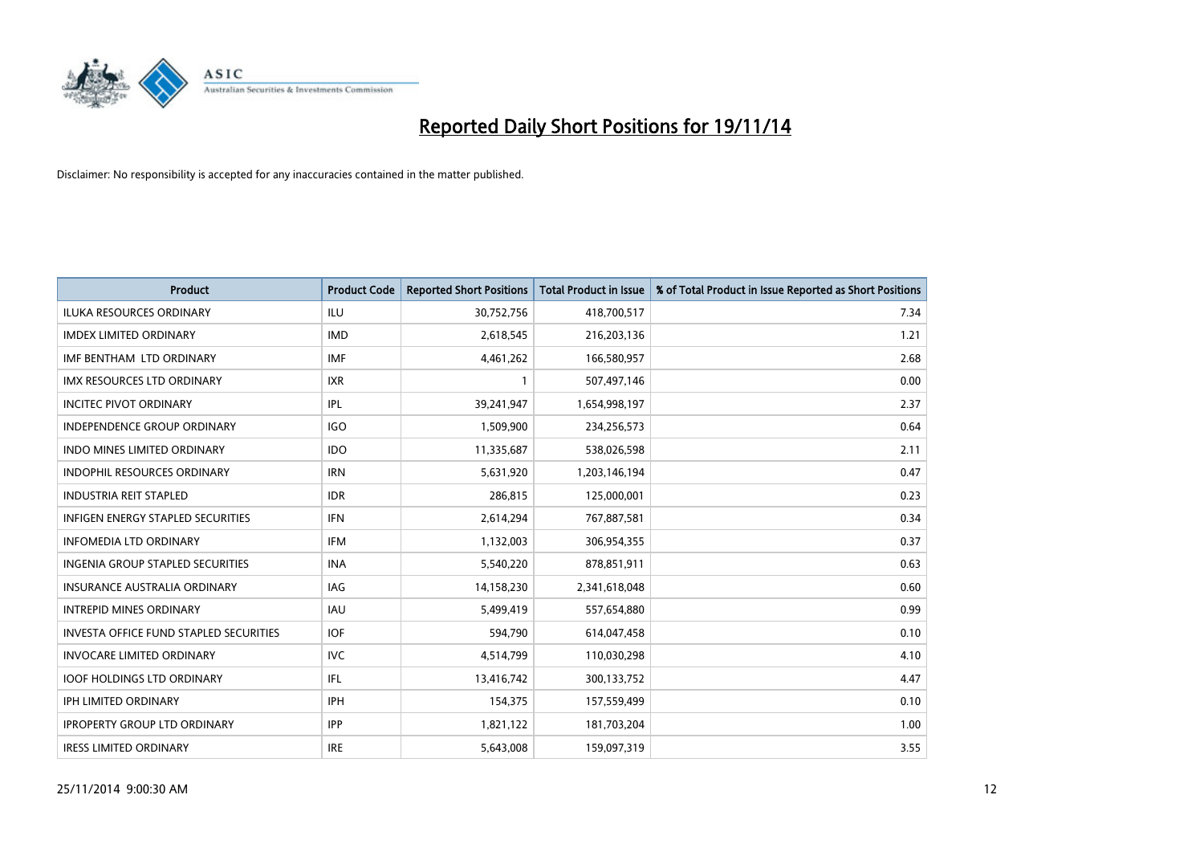

| <b>Product</b>                           | <b>Product Code</b> | <b>Reported Short Positions</b> | <b>Total Product in Issue</b> | % of Total Product in Issue Reported as Short Positions |
|------------------------------------------|---------------------|---------------------------------|-------------------------------|---------------------------------------------------------|
| <b>ILUKA RESOURCES ORDINARY</b>          | ILU                 | 30,752,756                      | 418,700,517                   | 7.34                                                    |
| <b>IMDEX LIMITED ORDINARY</b>            | <b>IMD</b>          | 2,618,545                       | 216,203,136                   | 1.21                                                    |
| IMF BENTHAM LTD ORDINARY                 | <b>IMF</b>          | 4,461,262                       | 166,580,957                   | 2.68                                                    |
| IMX RESOURCES LTD ORDINARY               | <b>IXR</b>          | $\mathbf{1}$                    | 507,497,146                   | 0.00                                                    |
| <b>INCITEC PIVOT ORDINARY</b>            | IPL                 | 39,241,947                      | 1,654,998,197                 | 2.37                                                    |
| <b>INDEPENDENCE GROUP ORDINARY</b>       | <b>IGO</b>          | 1,509,900                       | 234,256,573                   | 0.64                                                    |
| <b>INDO MINES LIMITED ORDINARY</b>       | <b>IDO</b>          | 11,335,687                      | 538,026,598                   | 2.11                                                    |
| <b>INDOPHIL RESOURCES ORDINARY</b>       | <b>IRN</b>          | 5,631,920                       | 1,203,146,194                 | 0.47                                                    |
| <b>INDUSTRIA REIT STAPLED</b>            | <b>IDR</b>          | 286,815                         | 125,000,001                   | 0.23                                                    |
| <b>INFIGEN ENERGY STAPLED SECURITIES</b> | <b>IFN</b>          | 2,614,294                       | 767,887,581                   | 0.34                                                    |
| <b>INFOMEDIA LTD ORDINARY</b>            | IFM                 | 1,132,003                       | 306,954,355                   | 0.37                                                    |
| <b>INGENIA GROUP STAPLED SECURITIES</b>  | <b>INA</b>          | 5,540,220                       | 878,851,911                   | 0.63                                                    |
| <b>INSURANCE AUSTRALIA ORDINARY</b>      | <b>IAG</b>          | 14,158,230                      | 2,341,618,048                 | 0.60                                                    |
| <b>INTREPID MINES ORDINARY</b>           | <b>IAU</b>          | 5,499,419                       | 557,654,880                   | 0.99                                                    |
| INVESTA OFFICE FUND STAPLED SECURITIES   | <b>IOF</b>          | 594,790                         | 614,047,458                   | 0.10                                                    |
| <b>INVOCARE LIMITED ORDINARY</b>         | <b>IVC</b>          | 4,514,799                       | 110,030,298                   | 4.10                                                    |
| <b>IOOF HOLDINGS LTD ORDINARY</b>        | IFL                 | 13,416,742                      | 300,133,752                   | 4.47                                                    |
| IPH LIMITED ORDINARY                     | <b>IPH</b>          | 154,375                         | 157,559,499                   | 0.10                                                    |
| <b>IPROPERTY GROUP LTD ORDINARY</b>      | <b>IPP</b>          | 1,821,122                       | 181,703,204                   | 1.00                                                    |
| <b>IRESS LIMITED ORDINARY</b>            | <b>IRE</b>          | 5,643,008                       | 159,097,319                   | 3.55                                                    |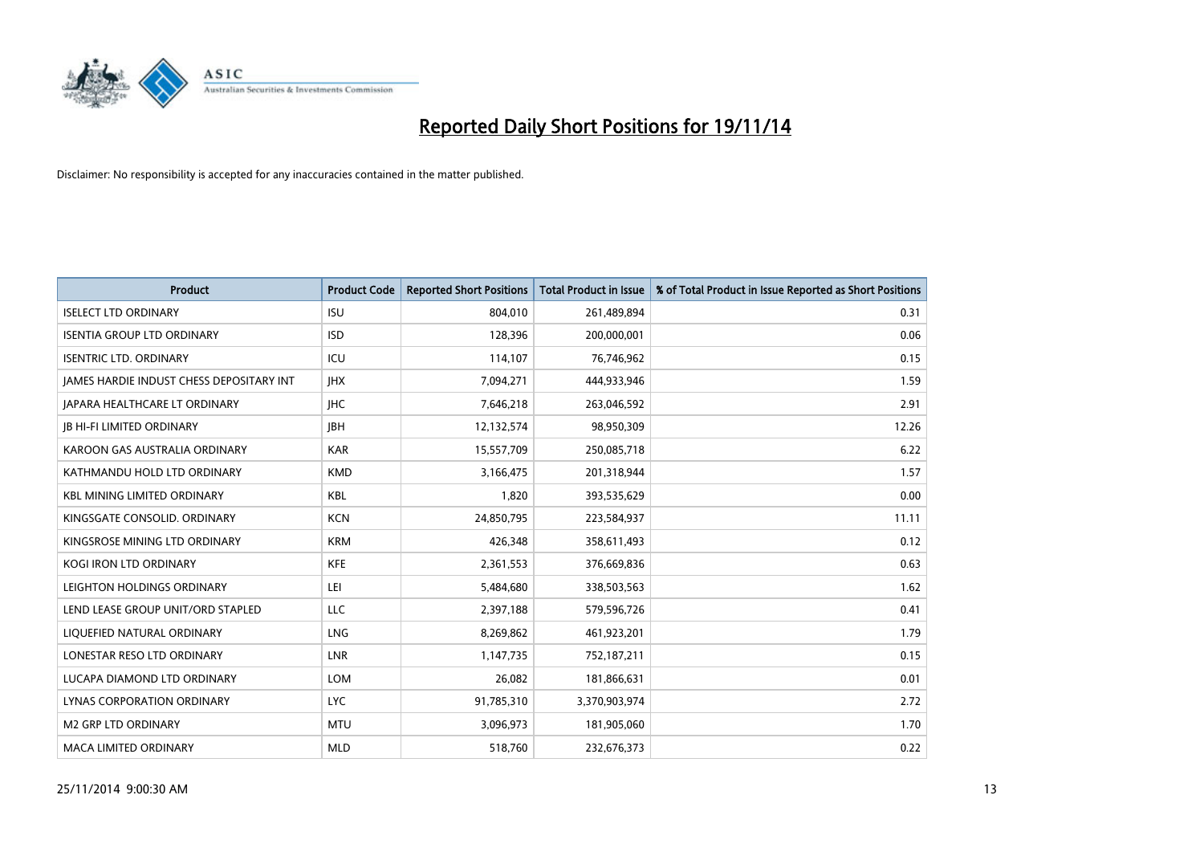

| <b>Product</b>                           | <b>Product Code</b> | <b>Reported Short Positions</b> | <b>Total Product in Issue</b> | % of Total Product in Issue Reported as Short Positions |
|------------------------------------------|---------------------|---------------------------------|-------------------------------|---------------------------------------------------------|
| <b>ISELECT LTD ORDINARY</b>              | <b>ISU</b>          | 804,010                         | 261,489,894                   | 0.31                                                    |
| <b>ISENTIA GROUP LTD ORDINARY</b>        | <b>ISD</b>          | 128,396                         | 200,000,001                   | 0.06                                                    |
| <b>ISENTRIC LTD. ORDINARY</b>            | ICU                 | 114,107                         | 76,746,962                    | 0.15                                                    |
| JAMES HARDIE INDUST CHESS DEPOSITARY INT | <b>IHX</b>          | 7,094,271                       | 444,933,946                   | 1.59                                                    |
| <b>JAPARA HEALTHCARE LT ORDINARY</b>     | <b>IHC</b>          | 7,646,218                       | 263,046,592                   | 2.91                                                    |
| <b>JB HI-FI LIMITED ORDINARY</b>         | <b>IBH</b>          | 12,132,574                      | 98,950,309                    | 12.26                                                   |
| KAROON GAS AUSTRALIA ORDINARY            | <b>KAR</b>          | 15,557,709                      | 250,085,718                   | 6.22                                                    |
| KATHMANDU HOLD LTD ORDINARY              | <b>KMD</b>          | 3,166,475                       | 201,318,944                   | 1.57                                                    |
| <b>KBL MINING LIMITED ORDINARY</b>       | <b>KBL</b>          | 1,820                           | 393,535,629                   | 0.00                                                    |
| KINGSGATE CONSOLID. ORDINARY             | <b>KCN</b>          | 24,850,795                      | 223,584,937                   | 11.11                                                   |
| KINGSROSE MINING LTD ORDINARY            | <b>KRM</b>          | 426,348                         | 358,611,493                   | 0.12                                                    |
| <b>KOGI IRON LTD ORDINARY</b>            | <b>KFE</b>          | 2,361,553                       | 376,669,836                   | 0.63                                                    |
| LEIGHTON HOLDINGS ORDINARY               | LEI                 | 5,484,680                       | 338,503,563                   | 1.62                                                    |
| LEND LEASE GROUP UNIT/ORD STAPLED        | LLC                 | 2,397,188                       | 579,596,726                   | 0.41                                                    |
| LIQUEFIED NATURAL ORDINARY               | LNG                 | 8,269,862                       | 461,923,201                   | 1.79                                                    |
| LONESTAR RESO LTD ORDINARY               | LNR                 | 1,147,735                       | 752,187,211                   | 0.15                                                    |
| LUCAPA DIAMOND LTD ORDINARY              | <b>LOM</b>          | 26,082                          | 181,866,631                   | 0.01                                                    |
| LYNAS CORPORATION ORDINARY               | <b>LYC</b>          | 91,785,310                      | 3,370,903,974                 | 2.72                                                    |
| <b>M2 GRP LTD ORDINARY</b>               | <b>MTU</b>          | 3,096,973                       | 181,905,060                   | 1.70                                                    |
| <b>MACA LIMITED ORDINARY</b>             | <b>MLD</b>          | 518,760                         | 232,676,373                   | 0.22                                                    |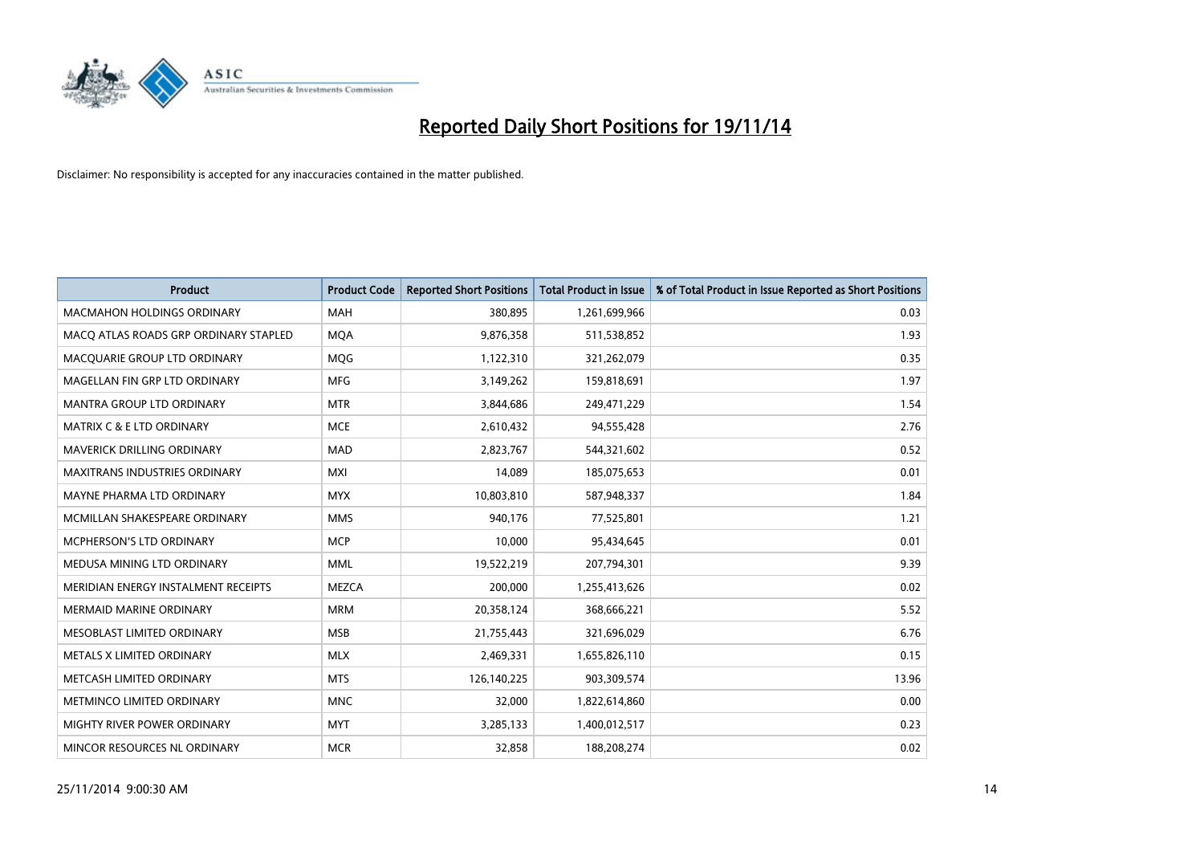

| <b>Product</b>                        | <b>Product Code</b> | <b>Reported Short Positions</b> | <b>Total Product in Issue</b> | % of Total Product in Issue Reported as Short Positions |
|---------------------------------------|---------------------|---------------------------------|-------------------------------|---------------------------------------------------------|
| <b>MACMAHON HOLDINGS ORDINARY</b>     | <b>MAH</b>          | 380,895                         | 1,261,699,966                 | 0.03                                                    |
| MACO ATLAS ROADS GRP ORDINARY STAPLED | <b>MOA</b>          | 9,876,358                       | 511,538,852                   | 1.93                                                    |
| MACQUARIE GROUP LTD ORDINARY          | <b>MQG</b>          | 1,122,310                       | 321,262,079                   | 0.35                                                    |
| MAGELLAN FIN GRP LTD ORDINARY         | <b>MFG</b>          | 3,149,262                       | 159,818,691                   | 1.97                                                    |
| <b>MANTRA GROUP LTD ORDINARY</b>      | <b>MTR</b>          | 3,844,686                       | 249,471,229                   | 1.54                                                    |
| MATRIX C & E LTD ORDINARY             | <b>MCE</b>          | 2,610,432                       | 94,555,428                    | 2.76                                                    |
| <b>MAVERICK DRILLING ORDINARY</b>     | <b>MAD</b>          | 2,823,767                       | 544,321,602                   | 0.52                                                    |
| <b>MAXITRANS INDUSTRIES ORDINARY</b>  | <b>MXI</b>          | 14,089                          | 185,075,653                   | 0.01                                                    |
| MAYNE PHARMA LTD ORDINARY             | <b>MYX</b>          | 10,803,810                      | 587,948,337                   | 1.84                                                    |
| MCMILLAN SHAKESPEARE ORDINARY         | <b>MMS</b>          | 940,176                         | 77,525,801                    | 1.21                                                    |
| MCPHERSON'S LTD ORDINARY              | <b>MCP</b>          | 10,000                          | 95,434,645                    | 0.01                                                    |
| MEDUSA MINING LTD ORDINARY            | <b>MML</b>          | 19,522,219                      | 207,794,301                   | 9.39                                                    |
| MERIDIAN ENERGY INSTALMENT RECEIPTS   | MEZCA               | 200,000                         | 1,255,413,626                 | 0.02                                                    |
| <b>MERMAID MARINE ORDINARY</b>        | <b>MRM</b>          | 20,358,124                      | 368,666,221                   | 5.52                                                    |
| MESOBLAST LIMITED ORDINARY            | <b>MSB</b>          | 21,755,443                      | 321,696,029                   | 6.76                                                    |
| METALS X LIMITED ORDINARY             | <b>MLX</b>          | 2,469,331                       | 1,655,826,110                 | 0.15                                                    |
| METCASH LIMITED ORDINARY              | <b>MTS</b>          | 126,140,225                     | 903,309,574                   | 13.96                                                   |
| METMINCO LIMITED ORDINARY             | <b>MNC</b>          | 32,000                          | 1,822,614,860                 | 0.00                                                    |
| MIGHTY RIVER POWER ORDINARY           | <b>MYT</b>          | 3,285,133                       | 1,400,012,517                 | 0.23                                                    |
| MINCOR RESOURCES NL ORDINARY          | <b>MCR</b>          | 32,858                          | 188,208,274                   | 0.02                                                    |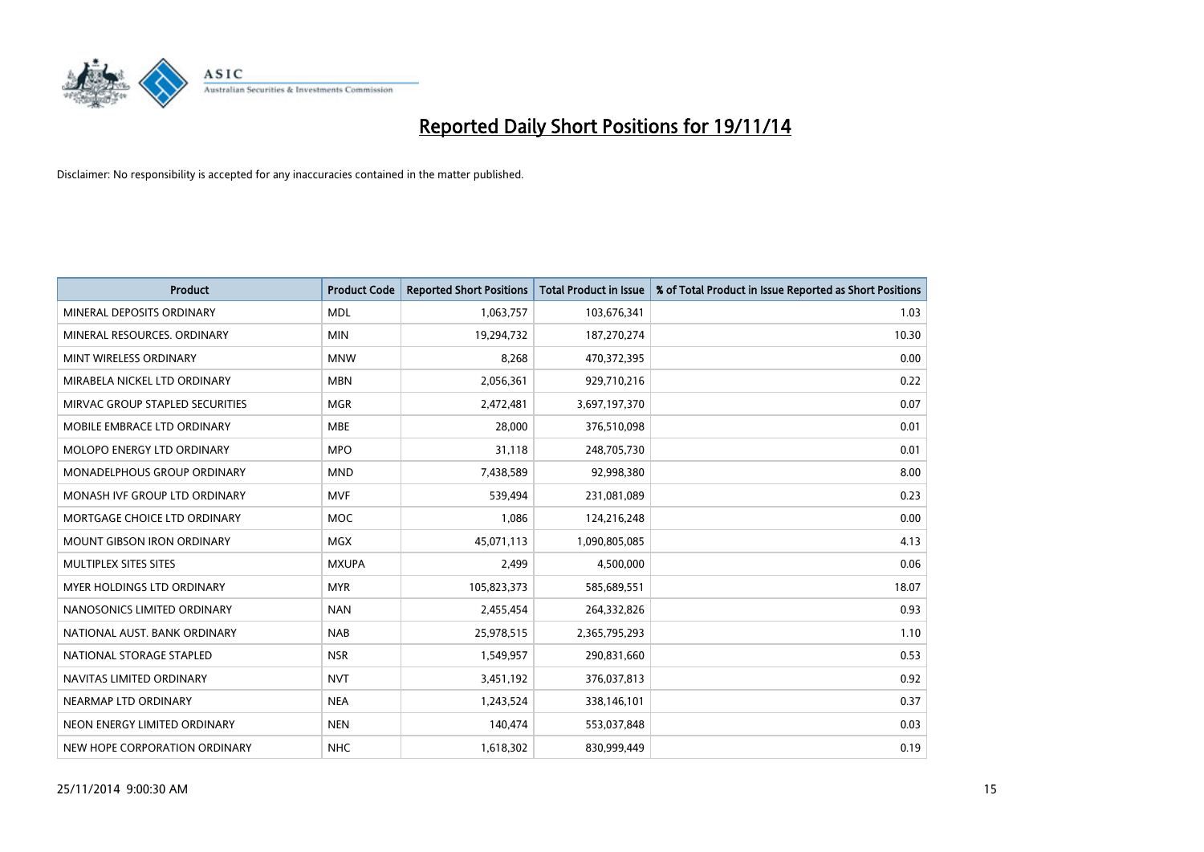

| <b>Product</b>                    | <b>Product Code</b> | <b>Reported Short Positions</b> | <b>Total Product in Issue</b> | % of Total Product in Issue Reported as Short Positions |
|-----------------------------------|---------------------|---------------------------------|-------------------------------|---------------------------------------------------------|
| MINERAL DEPOSITS ORDINARY         | <b>MDL</b>          | 1,063,757                       | 103,676,341                   | 1.03                                                    |
| MINERAL RESOURCES. ORDINARY       | <b>MIN</b>          | 19,294,732                      | 187,270,274                   | 10.30                                                   |
| MINT WIRELESS ORDINARY            | <b>MNW</b>          | 8,268                           | 470,372,395                   | 0.00                                                    |
| MIRABELA NICKEL LTD ORDINARY      | <b>MBN</b>          | 2,056,361                       | 929,710,216                   | 0.22                                                    |
| MIRVAC GROUP STAPLED SECURITIES   | <b>MGR</b>          | 2,472,481                       | 3,697,197,370                 | 0.07                                                    |
| MOBILE EMBRACE LTD ORDINARY       | <b>MBE</b>          | 28,000                          | 376,510,098                   | 0.01                                                    |
| <b>MOLOPO ENERGY LTD ORDINARY</b> | <b>MPO</b>          | 31,118                          | 248,705,730                   | 0.01                                                    |
| MONADELPHOUS GROUP ORDINARY       | <b>MND</b>          | 7,438,589                       | 92,998,380                    | 8.00                                                    |
| MONASH IVF GROUP LTD ORDINARY     | <b>MVF</b>          | 539,494                         | 231,081,089                   | 0.23                                                    |
| MORTGAGE CHOICE LTD ORDINARY      | <b>MOC</b>          | 1,086                           | 124,216,248                   | 0.00                                                    |
| MOUNT GIBSON IRON ORDINARY        | MGX                 | 45,071,113                      | 1,090,805,085                 | 4.13                                                    |
| MULTIPLEX SITES SITES             | <b>MXUPA</b>        | 2,499                           | 4,500,000                     | 0.06                                                    |
| MYER HOLDINGS LTD ORDINARY        | <b>MYR</b>          | 105,823,373                     | 585,689,551                   | 18.07                                                   |
| NANOSONICS LIMITED ORDINARY       | <b>NAN</b>          | 2,455,454                       | 264,332,826                   | 0.93                                                    |
| NATIONAL AUST, BANK ORDINARY      | <b>NAB</b>          | 25,978,515                      | 2,365,795,293                 | 1.10                                                    |
| NATIONAL STORAGE STAPLED          | <b>NSR</b>          | 1,549,957                       | 290,831,660                   | 0.53                                                    |
| NAVITAS LIMITED ORDINARY          | <b>NVT</b>          | 3,451,192                       | 376,037,813                   | 0.92                                                    |
| NEARMAP LTD ORDINARY              | <b>NEA</b>          | 1,243,524                       | 338,146,101                   | 0.37                                                    |
| NEON ENERGY LIMITED ORDINARY      | <b>NEN</b>          | 140,474                         | 553,037,848                   | 0.03                                                    |
| NEW HOPE CORPORATION ORDINARY     | <b>NHC</b>          | 1,618,302                       | 830,999,449                   | 0.19                                                    |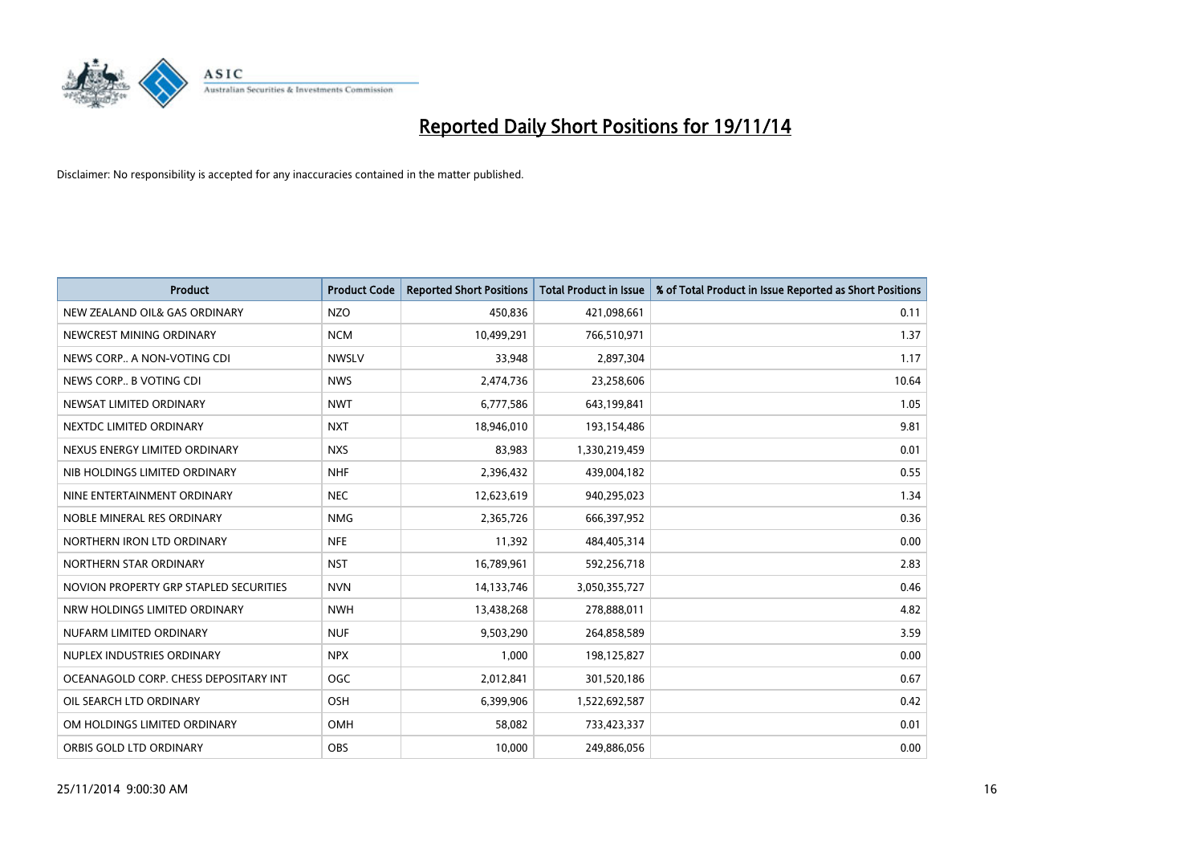

| <b>Product</b>                         | <b>Product Code</b> | <b>Reported Short Positions</b> | <b>Total Product in Issue</b> | % of Total Product in Issue Reported as Short Positions |
|----------------------------------------|---------------------|---------------------------------|-------------------------------|---------------------------------------------------------|
| NEW ZEALAND OIL& GAS ORDINARY          | <b>NZO</b>          | 450,836                         | 421,098,661                   | 0.11                                                    |
| NEWCREST MINING ORDINARY               | <b>NCM</b>          | 10,499,291                      | 766,510,971                   | 1.37                                                    |
| NEWS CORP A NON-VOTING CDI             | <b>NWSLV</b>        | 33,948                          | 2,897,304                     | 1.17                                                    |
| NEWS CORP B VOTING CDI                 | <b>NWS</b>          | 2,474,736                       | 23,258,606                    | 10.64                                                   |
| NEWSAT LIMITED ORDINARY                | <b>NWT</b>          | 6,777,586                       | 643,199,841                   | 1.05                                                    |
| NEXTDC LIMITED ORDINARY                | <b>NXT</b>          | 18,946,010                      | 193,154,486                   | 9.81                                                    |
| NEXUS ENERGY LIMITED ORDINARY          | <b>NXS</b>          | 83,983                          | 1,330,219,459                 | 0.01                                                    |
| NIB HOLDINGS LIMITED ORDINARY          | <b>NHF</b>          | 2,396,432                       | 439,004,182                   | 0.55                                                    |
| NINE ENTERTAINMENT ORDINARY            | <b>NEC</b>          | 12,623,619                      | 940,295,023                   | 1.34                                                    |
| NOBLE MINERAL RES ORDINARY             | <b>NMG</b>          | 2,365,726                       | 666,397,952                   | 0.36                                                    |
| NORTHERN IRON LTD ORDINARY             | <b>NFE</b>          | 11,392                          | 484,405,314                   | 0.00                                                    |
| NORTHERN STAR ORDINARY                 | <b>NST</b>          | 16,789,961                      | 592,256,718                   | 2.83                                                    |
| NOVION PROPERTY GRP STAPLED SECURITIES | <b>NVN</b>          | 14,133,746                      | 3,050,355,727                 | 0.46                                                    |
| NRW HOLDINGS LIMITED ORDINARY          | <b>NWH</b>          | 13,438,268                      | 278,888,011                   | 4.82                                                    |
| NUFARM LIMITED ORDINARY                | <b>NUF</b>          | 9,503,290                       | 264,858,589                   | 3.59                                                    |
| NUPLEX INDUSTRIES ORDINARY             | <b>NPX</b>          | 1,000                           | 198,125,827                   | 0.00                                                    |
| OCEANAGOLD CORP. CHESS DEPOSITARY INT  | <b>OGC</b>          | 2,012,841                       | 301,520,186                   | 0.67                                                    |
| OIL SEARCH LTD ORDINARY                | OSH                 | 6,399,906                       | 1,522,692,587                 | 0.42                                                    |
| OM HOLDINGS LIMITED ORDINARY           | <b>OMH</b>          | 58,082                          | 733,423,337                   | 0.01                                                    |
| ORBIS GOLD LTD ORDINARY                | <b>OBS</b>          | 10,000                          | 249,886,056                   | 0.00                                                    |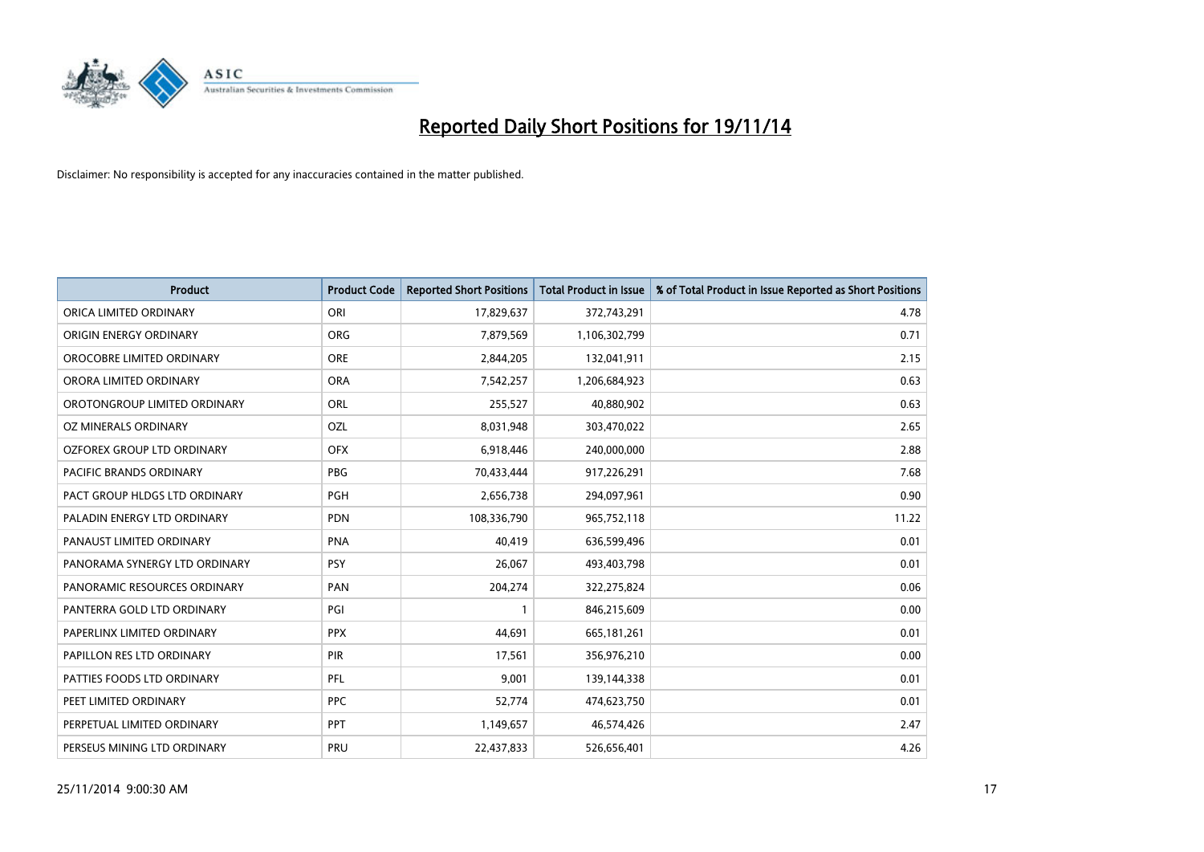

| <b>Product</b>                | <b>Product Code</b> | <b>Reported Short Positions</b> | <b>Total Product in Issue</b> | % of Total Product in Issue Reported as Short Positions |
|-------------------------------|---------------------|---------------------------------|-------------------------------|---------------------------------------------------------|
| ORICA LIMITED ORDINARY        | ORI                 | 17,829,637                      | 372,743,291                   | 4.78                                                    |
| ORIGIN ENERGY ORDINARY        | <b>ORG</b>          | 7,879,569                       | 1,106,302,799                 | 0.71                                                    |
| OROCOBRE LIMITED ORDINARY     | <b>ORE</b>          | 2,844,205                       | 132,041,911                   | 2.15                                                    |
| ORORA LIMITED ORDINARY        | <b>ORA</b>          | 7,542,257                       | 1,206,684,923                 | 0.63                                                    |
| OROTONGROUP LIMITED ORDINARY  | ORL                 | 255,527                         | 40,880,902                    | 0.63                                                    |
| OZ MINERALS ORDINARY          | OZL                 | 8,031,948                       | 303,470,022                   | 2.65                                                    |
| OZFOREX GROUP LTD ORDINARY    | <b>OFX</b>          | 6,918,446                       | 240,000,000                   | 2.88                                                    |
| PACIFIC BRANDS ORDINARY       | <b>PBG</b>          | 70,433,444                      | 917,226,291                   | 7.68                                                    |
| PACT GROUP HLDGS LTD ORDINARY | <b>PGH</b>          | 2,656,738                       | 294,097,961                   | 0.90                                                    |
| PALADIN ENERGY LTD ORDINARY   | <b>PDN</b>          | 108,336,790                     | 965,752,118                   | 11.22                                                   |
| PANAUST LIMITED ORDINARY      | <b>PNA</b>          | 40,419                          | 636,599,496                   | 0.01                                                    |
| PANORAMA SYNERGY LTD ORDINARY | <b>PSY</b>          | 26,067                          | 493,403,798                   | 0.01                                                    |
| PANORAMIC RESOURCES ORDINARY  | PAN                 | 204,274                         | 322,275,824                   | 0.06                                                    |
| PANTERRA GOLD LTD ORDINARY    | PGI                 | $\mathbf{1}$                    | 846,215,609                   | 0.00                                                    |
| PAPERLINX LIMITED ORDINARY    | <b>PPX</b>          | 44,691                          | 665, 181, 261                 | 0.01                                                    |
| PAPILLON RES LTD ORDINARY     | PIR                 | 17,561                          | 356,976,210                   | 0.00                                                    |
| PATTIES FOODS LTD ORDINARY    | PFL                 | 9,001                           | 139,144,338                   | 0.01                                                    |
| PEET LIMITED ORDINARY         | <b>PPC</b>          | 52,774                          | 474,623,750                   | 0.01                                                    |
| PERPETUAL LIMITED ORDINARY    | PPT                 | 1,149,657                       | 46,574,426                    | 2.47                                                    |
| PERSEUS MINING LTD ORDINARY   | PRU                 | 22,437,833                      | 526,656,401                   | 4.26                                                    |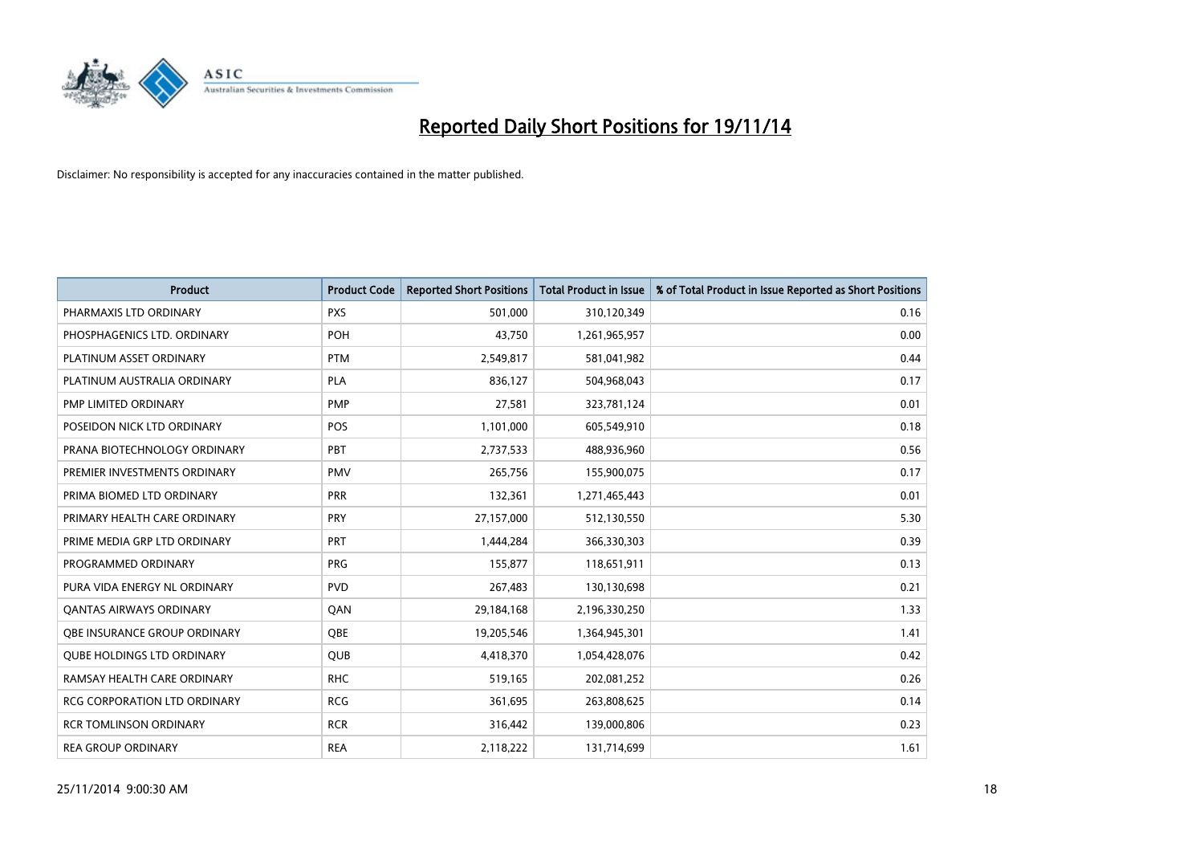

| <b>Product</b>                 | <b>Product Code</b> | <b>Reported Short Positions</b> | <b>Total Product in Issue</b> | % of Total Product in Issue Reported as Short Positions |
|--------------------------------|---------------------|---------------------------------|-------------------------------|---------------------------------------------------------|
| PHARMAXIS LTD ORDINARY         | <b>PXS</b>          | 501,000                         | 310,120,349                   | 0.16                                                    |
| PHOSPHAGENICS LTD. ORDINARY    | POH                 | 43,750                          | 1,261,965,957                 | 0.00                                                    |
| PLATINUM ASSET ORDINARY        | <b>PTM</b>          | 2,549,817                       | 581,041,982                   | 0.44                                                    |
| PLATINUM AUSTRALIA ORDINARY    | <b>PLA</b>          | 836,127                         | 504,968,043                   | 0.17                                                    |
| PMP LIMITED ORDINARY           | <b>PMP</b>          | 27,581                          | 323,781,124                   | 0.01                                                    |
| POSEIDON NICK LTD ORDINARY     | <b>POS</b>          | 1,101,000                       | 605,549,910                   | 0.18                                                    |
| PRANA BIOTECHNOLOGY ORDINARY   | <b>PBT</b>          | 2,737,533                       | 488,936,960                   | 0.56                                                    |
| PREMIER INVESTMENTS ORDINARY   | <b>PMV</b>          | 265,756                         | 155,900,075                   | 0.17                                                    |
| PRIMA BIOMED LTD ORDINARY      | <b>PRR</b>          | 132,361                         | 1,271,465,443                 | 0.01                                                    |
| PRIMARY HEALTH CARE ORDINARY   | <b>PRY</b>          | 27,157,000                      | 512,130,550                   | 5.30                                                    |
| PRIME MEDIA GRP LTD ORDINARY   | <b>PRT</b>          | 1,444,284                       | 366,330,303                   | 0.39                                                    |
| PROGRAMMED ORDINARY            | <b>PRG</b>          | 155,877                         | 118,651,911                   | 0.13                                                    |
| PURA VIDA ENERGY NL ORDINARY   | <b>PVD</b>          | 267,483                         | 130,130,698                   | 0.21                                                    |
| <b>QANTAS AIRWAYS ORDINARY</b> | QAN                 | 29,184,168                      | 2,196,330,250                 | 1.33                                                    |
| OBE INSURANCE GROUP ORDINARY   | <b>OBE</b>          | 19,205,546                      | 1,364,945,301                 | 1.41                                                    |
| QUBE HOLDINGS LTD ORDINARY     | <b>QUB</b>          | 4,418,370                       | 1,054,428,076                 | 0.42                                                    |
| RAMSAY HEALTH CARE ORDINARY    | <b>RHC</b>          | 519,165                         | 202,081,252                   | 0.26                                                    |
| RCG CORPORATION LTD ORDINARY   | <b>RCG</b>          | 361,695                         | 263,808,625                   | 0.14                                                    |
| <b>RCR TOMLINSON ORDINARY</b>  | <b>RCR</b>          | 316,442                         | 139,000,806                   | 0.23                                                    |
| <b>REA GROUP ORDINARY</b>      | <b>REA</b>          | 2,118,222                       | 131,714,699                   | 1.61                                                    |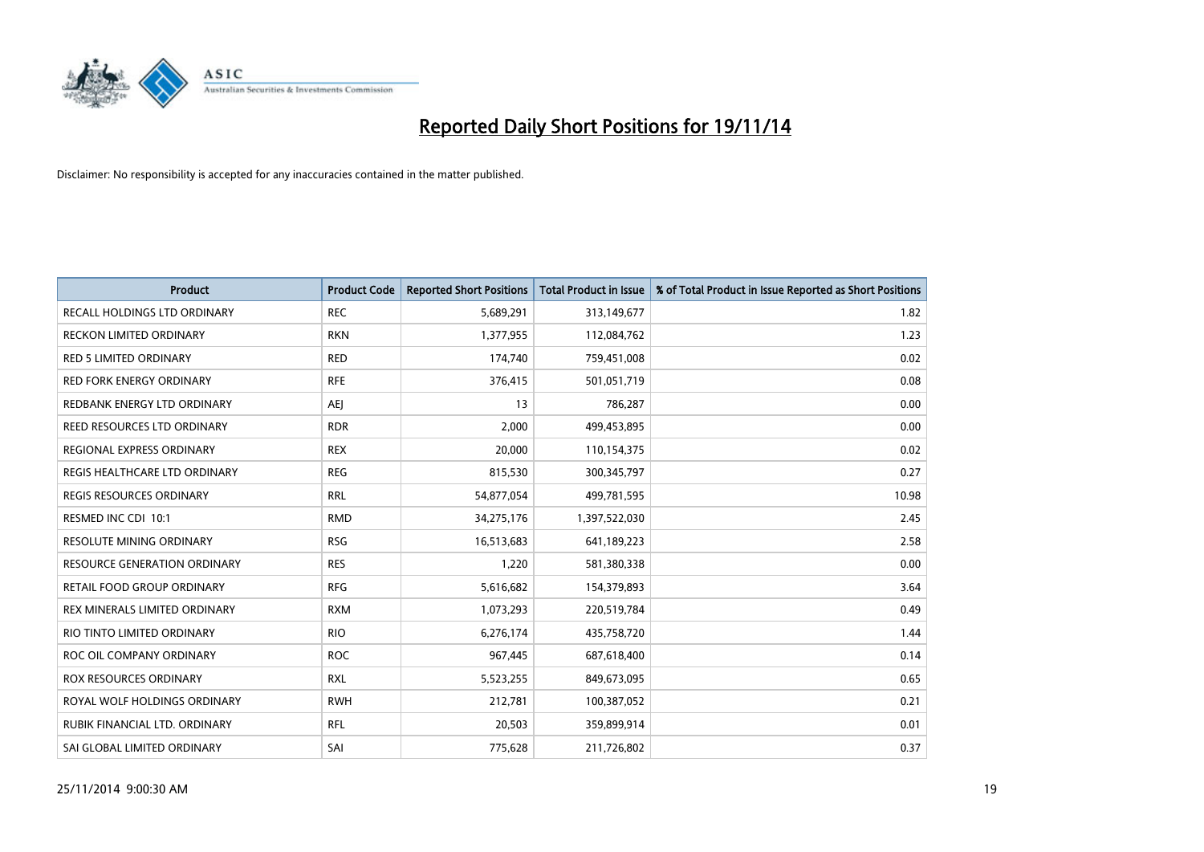

| <b>Product</b>                      | <b>Product Code</b> | <b>Reported Short Positions</b> | <b>Total Product in Issue</b> | % of Total Product in Issue Reported as Short Positions |
|-------------------------------------|---------------------|---------------------------------|-------------------------------|---------------------------------------------------------|
| RECALL HOLDINGS LTD ORDINARY        | <b>REC</b>          | 5,689,291                       | 313,149,677                   | 1.82                                                    |
| RECKON LIMITED ORDINARY             | <b>RKN</b>          | 1,377,955                       | 112,084,762                   | 1.23                                                    |
| <b>RED 5 LIMITED ORDINARY</b>       | <b>RED</b>          | 174,740                         | 759,451,008                   | 0.02                                                    |
| <b>RED FORK ENERGY ORDINARY</b>     | <b>RFE</b>          | 376,415                         | 501,051,719                   | 0.08                                                    |
| REDBANK ENERGY LTD ORDINARY         | <b>AEI</b>          | 13                              | 786,287                       | 0.00                                                    |
| REED RESOURCES LTD ORDINARY         | <b>RDR</b>          | 2,000                           | 499,453,895                   | 0.00                                                    |
| REGIONAL EXPRESS ORDINARY           | <b>REX</b>          | 20,000                          | 110,154,375                   | 0.02                                                    |
| REGIS HEALTHCARE LTD ORDINARY       | <b>REG</b>          | 815,530                         | 300, 345, 797                 | 0.27                                                    |
| <b>REGIS RESOURCES ORDINARY</b>     | <b>RRL</b>          | 54,877,054                      | 499,781,595                   | 10.98                                                   |
| RESMED INC CDI 10:1                 | <b>RMD</b>          | 34,275,176                      | 1,397,522,030                 | 2.45                                                    |
| RESOLUTE MINING ORDINARY            | <b>RSG</b>          | 16,513,683                      | 641,189,223                   | 2.58                                                    |
| <b>RESOURCE GENERATION ORDINARY</b> | <b>RES</b>          | 1,220                           | 581,380,338                   | 0.00                                                    |
| RETAIL FOOD GROUP ORDINARY          | <b>RFG</b>          | 5,616,682                       | 154,379,893                   | 3.64                                                    |
| REX MINERALS LIMITED ORDINARY       | <b>RXM</b>          | 1,073,293                       | 220,519,784                   | 0.49                                                    |
| RIO TINTO LIMITED ORDINARY          | <b>RIO</b>          | 6,276,174                       | 435,758,720                   | 1.44                                                    |
| ROC OIL COMPANY ORDINARY            | <b>ROC</b>          | 967,445                         | 687,618,400                   | 0.14                                                    |
| ROX RESOURCES ORDINARY              | <b>RXL</b>          | 5,523,255                       | 849,673,095                   | 0.65                                                    |
| ROYAL WOLF HOLDINGS ORDINARY        | <b>RWH</b>          | 212,781                         | 100,387,052                   | 0.21                                                    |
| RUBIK FINANCIAL LTD. ORDINARY       | <b>RFL</b>          | 20,503                          | 359,899,914                   | 0.01                                                    |
| SAI GLOBAL LIMITED ORDINARY         | SAI                 | 775,628                         | 211,726,802                   | 0.37                                                    |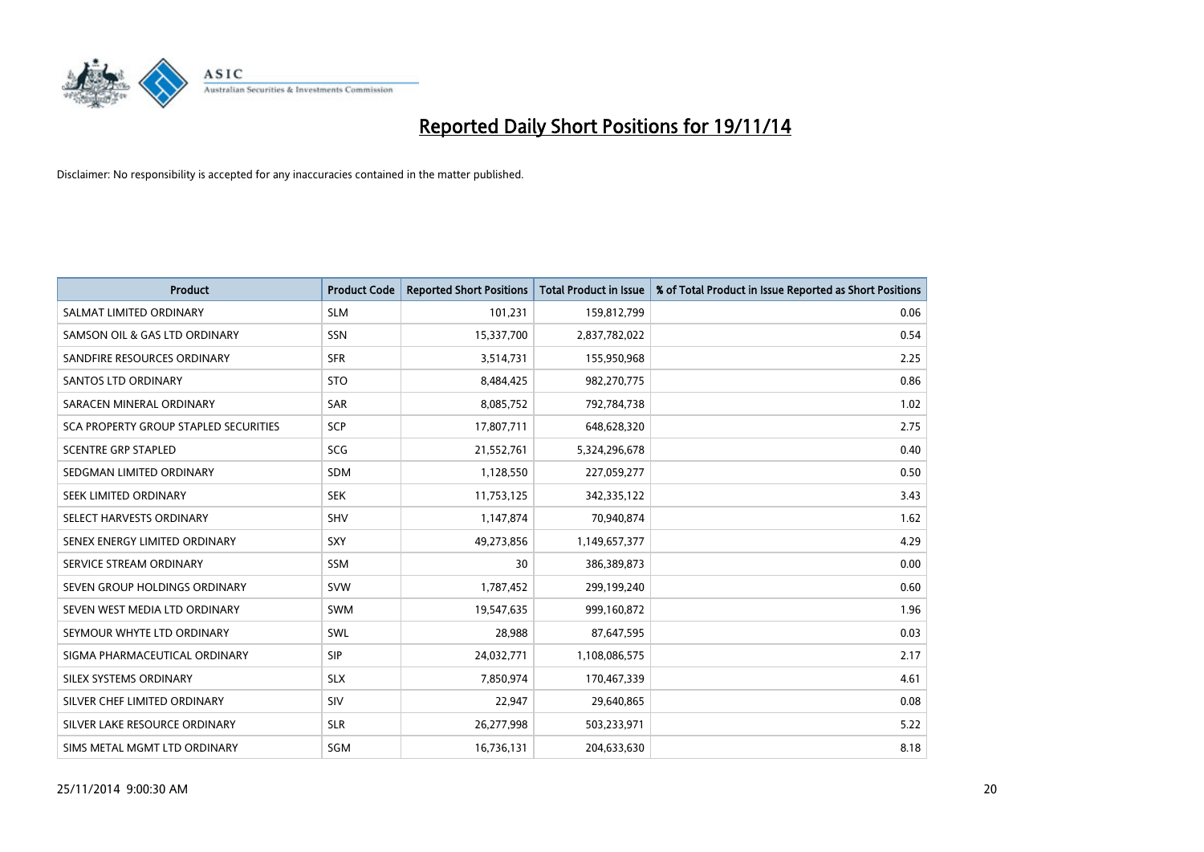

| <b>Product</b>                        | <b>Product Code</b> | <b>Reported Short Positions</b> | <b>Total Product in Issue</b> | % of Total Product in Issue Reported as Short Positions |
|---------------------------------------|---------------------|---------------------------------|-------------------------------|---------------------------------------------------------|
| SALMAT LIMITED ORDINARY               | <b>SLM</b>          | 101,231                         | 159,812,799                   | 0.06                                                    |
| SAMSON OIL & GAS LTD ORDINARY         | <b>SSN</b>          | 15,337,700                      | 2,837,782,022                 | 0.54                                                    |
| SANDFIRE RESOURCES ORDINARY           | <b>SFR</b>          | 3,514,731                       | 155,950,968                   | 2.25                                                    |
| SANTOS LTD ORDINARY                   | <b>STO</b>          | 8,484,425                       | 982,270,775                   | 0.86                                                    |
| SARACEN MINERAL ORDINARY              | SAR                 | 8,085,752                       | 792,784,738                   | 1.02                                                    |
| SCA PROPERTY GROUP STAPLED SECURITIES | SCP                 | 17,807,711                      | 648,628,320                   | 2.75                                                    |
| <b>SCENTRE GRP STAPLED</b>            | SCG                 | 21,552,761                      | 5,324,296,678                 | 0.40                                                    |
| SEDGMAN LIMITED ORDINARY              | SDM                 | 1,128,550                       | 227,059,277                   | 0.50                                                    |
| SEEK LIMITED ORDINARY                 | <b>SEK</b>          | 11,753,125                      | 342,335,122                   | 3.43                                                    |
| SELECT HARVESTS ORDINARY              | SHV                 | 1,147,874                       | 70,940,874                    | 1.62                                                    |
| SENEX ENERGY LIMITED ORDINARY         | <b>SXY</b>          | 49,273,856                      | 1,149,657,377                 | 4.29                                                    |
| SERVICE STREAM ORDINARY               | SSM                 | 30                              | 386,389,873                   | 0.00                                                    |
| SEVEN GROUP HOLDINGS ORDINARY         | <b>SVW</b>          | 1,787,452                       | 299,199,240                   | 0.60                                                    |
| SEVEN WEST MEDIA LTD ORDINARY         | <b>SWM</b>          | 19,547,635                      | 999,160,872                   | 1.96                                                    |
| SEYMOUR WHYTE LTD ORDINARY            | SWL                 | 28,988                          | 87,647,595                    | 0.03                                                    |
| SIGMA PHARMACEUTICAL ORDINARY         | <b>SIP</b>          | 24,032,771                      | 1,108,086,575                 | 2.17                                                    |
| SILEX SYSTEMS ORDINARY                | <b>SLX</b>          | 7,850,974                       | 170,467,339                   | 4.61                                                    |
| SILVER CHEF LIMITED ORDINARY          | SIV                 | 22,947                          | 29,640,865                    | 0.08                                                    |
| SILVER LAKE RESOURCE ORDINARY         | <b>SLR</b>          | 26,277,998                      | 503,233,971                   | 5.22                                                    |
| SIMS METAL MGMT LTD ORDINARY          | SGM                 | 16,736,131                      | 204,633,630                   | 8.18                                                    |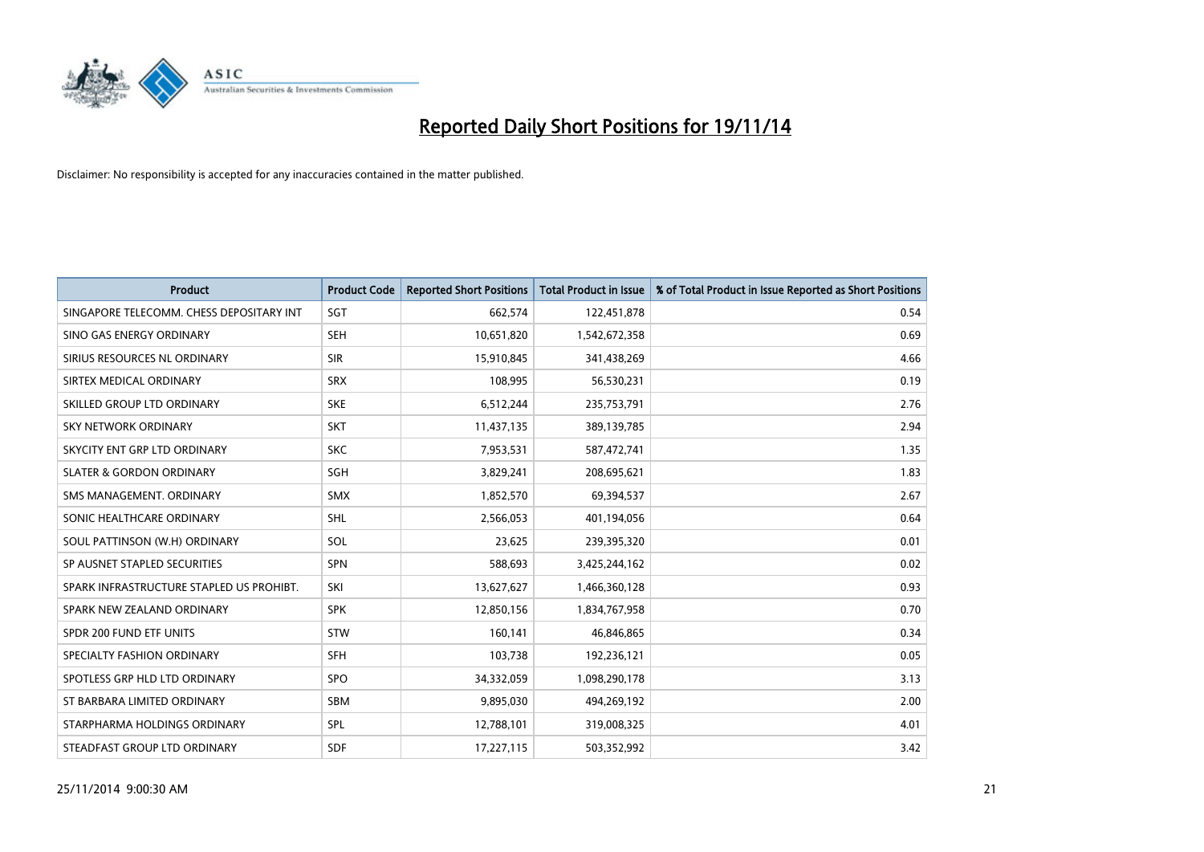

| <b>Product</b>                           | <b>Product Code</b> | <b>Reported Short Positions</b> | <b>Total Product in Issue</b> | % of Total Product in Issue Reported as Short Positions |
|------------------------------------------|---------------------|---------------------------------|-------------------------------|---------------------------------------------------------|
| SINGAPORE TELECOMM. CHESS DEPOSITARY INT | SGT                 | 662,574                         | 122,451,878                   | 0.54                                                    |
| SINO GAS ENERGY ORDINARY                 | <b>SEH</b>          | 10,651,820                      | 1,542,672,358                 | 0.69                                                    |
| SIRIUS RESOURCES NL ORDINARY             | <b>SIR</b>          | 15,910,845                      | 341,438,269                   | 4.66                                                    |
| SIRTEX MEDICAL ORDINARY                  | <b>SRX</b>          | 108,995                         | 56,530,231                    | 0.19                                                    |
| SKILLED GROUP LTD ORDINARY               | <b>SKE</b>          | 6,512,244                       | 235,753,791                   | 2.76                                                    |
| <b>SKY NETWORK ORDINARY</b>              | <b>SKT</b>          | 11,437,135                      | 389,139,785                   | 2.94                                                    |
| SKYCITY ENT GRP LTD ORDINARY             | <b>SKC</b>          | 7,953,531                       | 587,472,741                   | 1.35                                                    |
| <b>SLATER &amp; GORDON ORDINARY</b>      | SGH                 | 3,829,241                       | 208,695,621                   | 1.83                                                    |
| SMS MANAGEMENT, ORDINARY                 | <b>SMX</b>          | 1,852,570                       | 69,394,537                    | 2.67                                                    |
| SONIC HEALTHCARE ORDINARY                | SHL                 | 2,566,053                       | 401,194,056                   | 0.64                                                    |
| SOUL PATTINSON (W.H) ORDINARY            | SOL                 | 23,625                          | 239,395,320                   | 0.01                                                    |
| SP AUSNET STAPLED SECURITIES             | <b>SPN</b>          | 588.693                         | 3,425,244,162                 | 0.02                                                    |
| SPARK INFRASTRUCTURE STAPLED US PROHIBT. | SKI                 | 13,627,627                      | 1,466,360,128                 | 0.93                                                    |
| SPARK NEW ZEALAND ORDINARY               | <b>SPK</b>          | 12,850,156                      | 1,834,767,958                 | 0.70                                                    |
| SPDR 200 FUND ETF UNITS                  | <b>STW</b>          | 160,141                         | 46,846,865                    | 0.34                                                    |
| SPECIALTY FASHION ORDINARY               | <b>SFH</b>          | 103,738                         | 192,236,121                   | 0.05                                                    |
| SPOTLESS GRP HLD LTD ORDINARY            | <b>SPO</b>          | 34,332,059                      | 1,098,290,178                 | 3.13                                                    |
| ST BARBARA LIMITED ORDINARY              | <b>SBM</b>          | 9,895,030                       | 494,269,192                   | 2.00                                                    |
| STARPHARMA HOLDINGS ORDINARY             | SPL                 | 12,788,101                      | 319,008,325                   | 4.01                                                    |
| STEADFAST GROUP LTD ORDINARY             | <b>SDF</b>          | 17,227,115                      | 503,352,992                   | 3.42                                                    |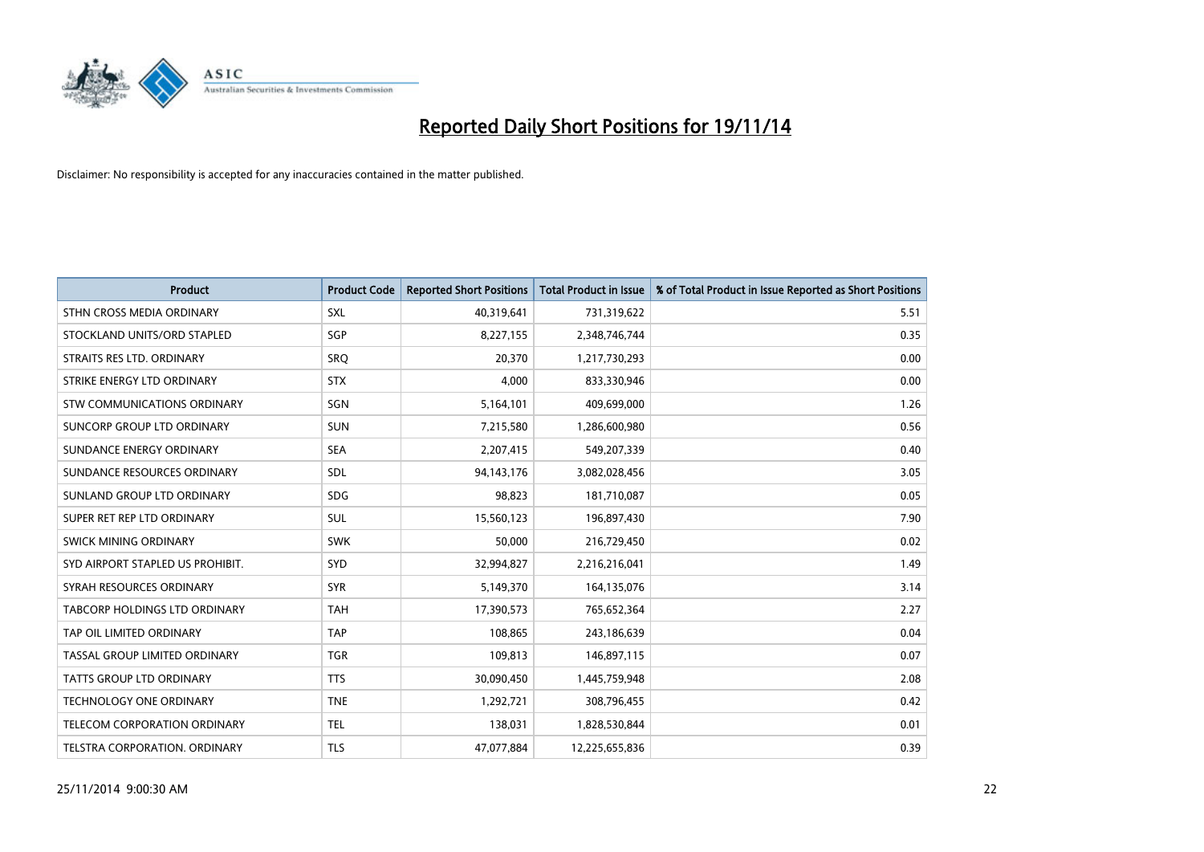

| <b>Product</b>                       | <b>Product Code</b> | <b>Reported Short Positions</b> | <b>Total Product in Issue</b> | % of Total Product in Issue Reported as Short Positions |
|--------------------------------------|---------------------|---------------------------------|-------------------------------|---------------------------------------------------------|
| STHN CROSS MEDIA ORDINARY            | <b>SXL</b>          | 40,319,641                      | 731,319,622                   | 5.51                                                    |
| STOCKLAND UNITS/ORD STAPLED          | SGP                 | 8,227,155                       | 2,348,746,744                 | 0.35                                                    |
| STRAITS RES LTD. ORDINARY            | SRO                 | 20,370                          | 1,217,730,293                 | 0.00                                                    |
| STRIKE ENERGY LTD ORDINARY           | <b>STX</b>          | 4,000                           | 833,330,946                   | 0.00                                                    |
| STW COMMUNICATIONS ORDINARY          | SGN                 | 5,164,101                       | 409,699,000                   | 1.26                                                    |
| SUNCORP GROUP LTD ORDINARY           | <b>SUN</b>          | 7,215,580                       | 1,286,600,980                 | 0.56                                                    |
| SUNDANCE ENERGY ORDINARY             | <b>SEA</b>          | 2,207,415                       | 549,207,339                   | 0.40                                                    |
| SUNDANCE RESOURCES ORDINARY          | <b>SDL</b>          | 94,143,176                      | 3,082,028,456                 | 3.05                                                    |
| SUNLAND GROUP LTD ORDINARY           | <b>SDG</b>          | 98,823                          | 181,710,087                   | 0.05                                                    |
| SUPER RET REP LTD ORDINARY           | SUL                 | 15,560,123                      | 196,897,430                   | 7.90                                                    |
| SWICK MINING ORDINARY                | <b>SWK</b>          | 50,000                          | 216,729,450                   | 0.02                                                    |
| SYD AIRPORT STAPLED US PROHIBIT.     | SYD                 | 32,994,827                      | 2,216,216,041                 | 1.49                                                    |
| SYRAH RESOURCES ORDINARY             | <b>SYR</b>          | 5,149,370                       | 164,135,076                   | 3.14                                                    |
| <b>TABCORP HOLDINGS LTD ORDINARY</b> | <b>TAH</b>          | 17,390,573                      | 765,652,364                   | 2.27                                                    |
| TAP OIL LIMITED ORDINARY             | <b>TAP</b>          | 108,865                         | 243,186,639                   | 0.04                                                    |
| TASSAL GROUP LIMITED ORDINARY        | <b>TGR</b>          | 109,813                         | 146,897,115                   | 0.07                                                    |
| <b>TATTS GROUP LTD ORDINARY</b>      | <b>TTS</b>          | 30,090,450                      | 1,445,759,948                 | 2.08                                                    |
| <b>TECHNOLOGY ONE ORDINARY</b>       | <b>TNE</b>          | 1,292,721                       | 308,796,455                   | 0.42                                                    |
| TELECOM CORPORATION ORDINARY         | <b>TEL</b>          | 138,031                         | 1,828,530,844                 | 0.01                                                    |
| TELSTRA CORPORATION, ORDINARY        | <b>TLS</b>          | 47,077,884                      | 12,225,655,836                | 0.39                                                    |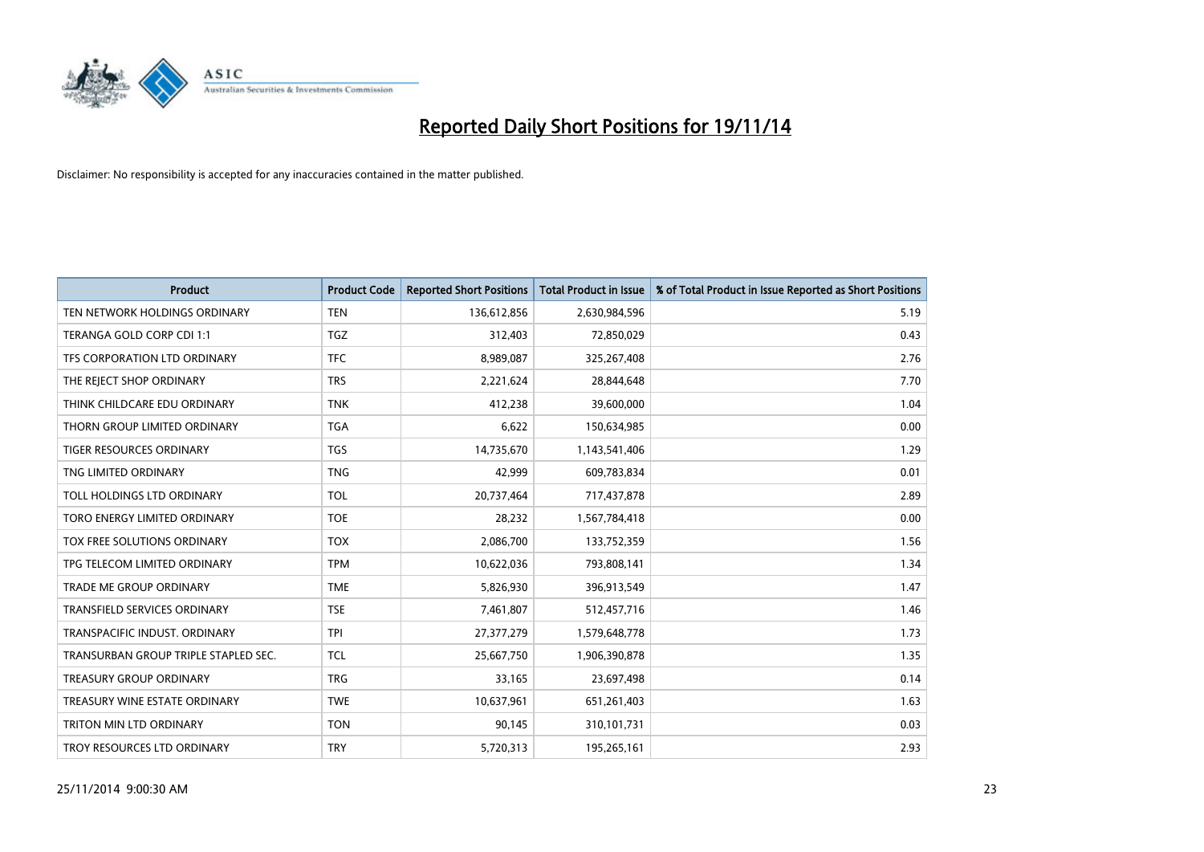

| <b>Product</b>                       | <b>Product Code</b> | <b>Reported Short Positions</b> | <b>Total Product in Issue</b> | % of Total Product in Issue Reported as Short Positions |
|--------------------------------------|---------------------|---------------------------------|-------------------------------|---------------------------------------------------------|
| TEN NETWORK HOLDINGS ORDINARY        | <b>TEN</b>          | 136,612,856                     | 2,630,984,596                 | 5.19                                                    |
| TERANGA GOLD CORP CDI 1:1            | <b>TGZ</b>          | 312,403                         | 72,850,029                    | 0.43                                                    |
| TFS CORPORATION LTD ORDINARY         | <b>TFC</b>          | 8,989,087                       | 325,267,408                   | 2.76                                                    |
| THE REJECT SHOP ORDINARY             | <b>TRS</b>          | 2,221,624                       | 28,844,648                    | 7.70                                                    |
| THINK CHILDCARE EDU ORDINARY         | <b>TNK</b>          | 412,238                         | 39,600,000                    | 1.04                                                    |
| THORN GROUP LIMITED ORDINARY         | <b>TGA</b>          | 6,622                           | 150,634,985                   | 0.00                                                    |
| TIGER RESOURCES ORDINARY             | <b>TGS</b>          | 14,735,670                      | 1,143,541,406                 | 1.29                                                    |
| TNG LIMITED ORDINARY                 | <b>TNG</b>          | 42,999                          | 609,783,834                   | 0.01                                                    |
| TOLL HOLDINGS LTD ORDINARY           | <b>TOL</b>          | 20,737,464                      | 717,437,878                   | 2.89                                                    |
| TORO ENERGY LIMITED ORDINARY         | <b>TOE</b>          | 28,232                          | 1,567,784,418                 | 0.00                                                    |
| TOX FREE SOLUTIONS ORDINARY          | <b>TOX</b>          | 2,086,700                       | 133,752,359                   | 1.56                                                    |
| TPG TELECOM LIMITED ORDINARY         | <b>TPM</b>          | 10,622,036                      | 793,808,141                   | 1.34                                                    |
| <b>TRADE ME GROUP ORDINARY</b>       | <b>TME</b>          | 5,826,930                       | 396,913,549                   | 1.47                                                    |
| <b>TRANSFIELD SERVICES ORDINARY</b>  | <b>TSE</b>          | 7,461,807                       | 512,457,716                   | 1.46                                                    |
| TRANSPACIFIC INDUST, ORDINARY        | <b>TPI</b>          | 27,377,279                      | 1,579,648,778                 | 1.73                                                    |
| TRANSURBAN GROUP TRIPLE STAPLED SEC. | TCL                 | 25,667,750                      | 1,906,390,878                 | 1.35                                                    |
| TREASURY GROUP ORDINARY              | <b>TRG</b>          | 33,165                          | 23,697,498                    | 0.14                                                    |
| TREASURY WINE ESTATE ORDINARY        | <b>TWE</b>          | 10,637,961                      | 651,261,403                   | 1.63                                                    |
| <b>TRITON MIN LTD ORDINARY</b>       | <b>TON</b>          | 90,145                          | 310,101,731                   | 0.03                                                    |
| TROY RESOURCES LTD ORDINARY          | <b>TRY</b>          | 5,720,313                       | 195,265,161                   | 2.93                                                    |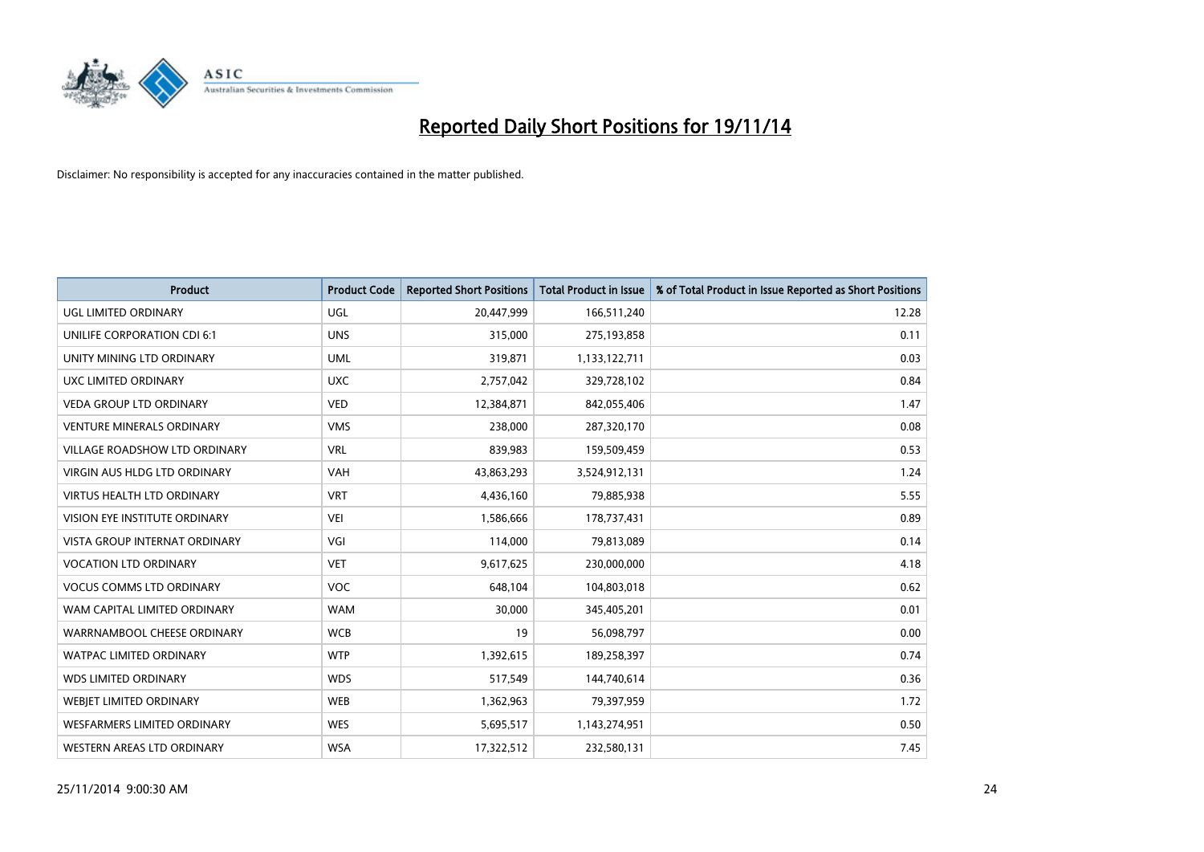

| <b>Product</b>                       | <b>Product Code</b> | <b>Reported Short Positions</b> | <b>Total Product in Issue</b> | % of Total Product in Issue Reported as Short Positions |
|--------------------------------------|---------------------|---------------------------------|-------------------------------|---------------------------------------------------------|
| <b>UGL LIMITED ORDINARY</b>          | UGL                 | 20,447,999                      | 166,511,240                   | 12.28                                                   |
| UNILIFE CORPORATION CDI 6:1          | <b>UNS</b>          | 315,000                         | 275,193,858                   | 0.11                                                    |
| UNITY MINING LTD ORDINARY            | <b>UML</b>          | 319,871                         | 1,133,122,711                 | 0.03                                                    |
| <b>UXC LIMITED ORDINARY</b>          | <b>UXC</b>          | 2,757,042                       | 329,728,102                   | 0.84                                                    |
| <b>VEDA GROUP LTD ORDINARY</b>       | <b>VED</b>          | 12,384,871                      | 842,055,406                   | 1.47                                                    |
| <b>VENTURE MINERALS ORDINARY</b>     | <b>VMS</b>          | 238,000                         | 287,320,170                   | 0.08                                                    |
| <b>VILLAGE ROADSHOW LTD ORDINARY</b> | <b>VRL</b>          | 839,983                         | 159,509,459                   | 0.53                                                    |
| <b>VIRGIN AUS HLDG LTD ORDINARY</b>  | <b>VAH</b>          | 43,863,293                      | 3,524,912,131                 | 1.24                                                    |
| <b>VIRTUS HEALTH LTD ORDINARY</b>    | <b>VRT</b>          | 4,436,160                       | 79,885,938                    | 5.55                                                    |
| VISION EYE INSTITUTE ORDINARY        | <b>VEI</b>          | 1,586,666                       | 178,737,431                   | 0.89                                                    |
| VISTA GROUP INTERNAT ORDINARY        | VGI                 | 114,000                         | 79,813,089                    | 0.14                                                    |
| <b>VOCATION LTD ORDINARY</b>         | <b>VET</b>          | 9,617,625                       | 230,000,000                   | 4.18                                                    |
| <b>VOCUS COMMS LTD ORDINARY</b>      | <b>VOC</b>          | 648,104                         | 104,803,018                   | 0.62                                                    |
| WAM CAPITAL LIMITED ORDINARY         | <b>WAM</b>          | 30,000                          | 345,405,201                   | 0.01                                                    |
| WARRNAMBOOL CHEESE ORDINARY          | <b>WCB</b>          | 19                              | 56,098,797                    | 0.00                                                    |
| <b>WATPAC LIMITED ORDINARY</b>       | <b>WTP</b>          | 1,392,615                       | 189,258,397                   | 0.74                                                    |
| <b>WDS LIMITED ORDINARY</b>          | <b>WDS</b>          | 517,549                         | 144,740,614                   | 0.36                                                    |
| WEBJET LIMITED ORDINARY              | <b>WEB</b>          | 1,362,963                       | 79,397,959                    | 1.72                                                    |
| <b>WESFARMERS LIMITED ORDINARY</b>   | <b>WES</b>          | 5,695,517                       | 1,143,274,951                 | 0.50                                                    |
| WESTERN AREAS LTD ORDINARY           | <b>WSA</b>          | 17,322,512                      | 232,580,131                   | 7.45                                                    |